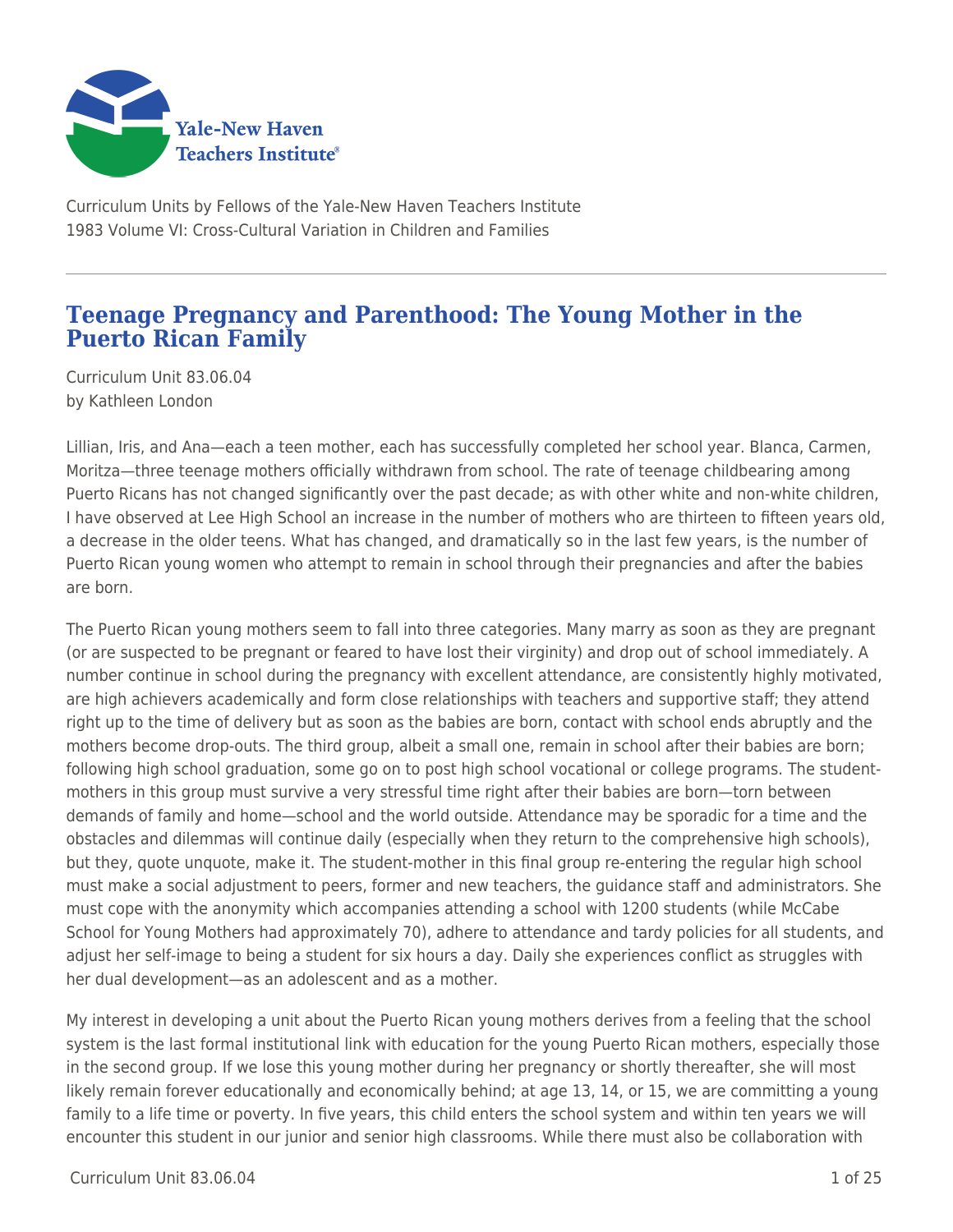

Curriculum Units by Fellows of the Yale-New Haven Teachers Institute 1983 Volume VI: Cross-Cultural Variation in Children and Families

## **Teenage Pregnancy and Parenthood: The Young Mother in the Puerto Rican Family**

Curriculum Unit 83.06.04 by Kathleen London

Lillian, Iris, and Ana—each a teen mother, each has successfully completed her school year. Blanca, Carmen, Moritza—three teenage mothers officially withdrawn from school. The rate of teenage childbearing among Puerto Ricans has not changed significantly over the past decade; as with other white and non-white children, I have observed at Lee High School an increase in the number of mothers who are thirteen to fifteen years old, a decrease in the older teens. What has changed, and dramatically so in the last few years, is the number of Puerto Rican young women who attempt to remain in school through their pregnancies and after the babies are born.

The Puerto Rican young mothers seem to fall into three categories. Many marry as soon as they are pregnant (or are suspected to be pregnant or feared to have lost their virginity) and drop out of school immediately. A number continue in school during the pregnancy with excellent attendance, are consistently highly motivated, are high achievers academically and form close relationships with teachers and supportive staff; they attend right up to the time of delivery but as soon as the babies are born, contact with school ends abruptly and the mothers become drop-outs. The third group, albeit a small one, remain in school after their babies are born; following high school graduation, some go on to post high school vocational or college programs. The studentmothers in this group must survive a very stressful time right after their babies are born—torn between demands of family and home—school and the world outside. Attendance may be sporadic for a time and the obstacles and dilemmas will continue daily (especially when they return to the comprehensive high schools), but they, quote unquote, make it. The student-mother in this final group re-entering the regular high school must make a social adjustment to peers, former and new teachers, the guidance staff and administrators. She must cope with the anonymity which accompanies attending a school with 1200 students (while McCabe School for Young Mothers had approximately 70), adhere to attendance and tardy policies for all students, and adjust her self-image to being a student for six hours a day. Daily she experiences conflict as struggles with her dual development—as an adolescent and as a mother.

My interest in developing a unit about the Puerto Rican young mothers derives from a feeling that the school system is the last formal institutional link with education for the young Puerto Rican mothers, especially those in the second group. If we lose this young mother during her pregnancy or shortly thereafter, she will most likely remain forever educationally and economically behind; at age 13, 14, or 15, we are committing a young family to a life time or poverty. In five years, this child enters the school system and within ten years we will encounter this student in our junior and senior high classrooms. While there must also be collaboration with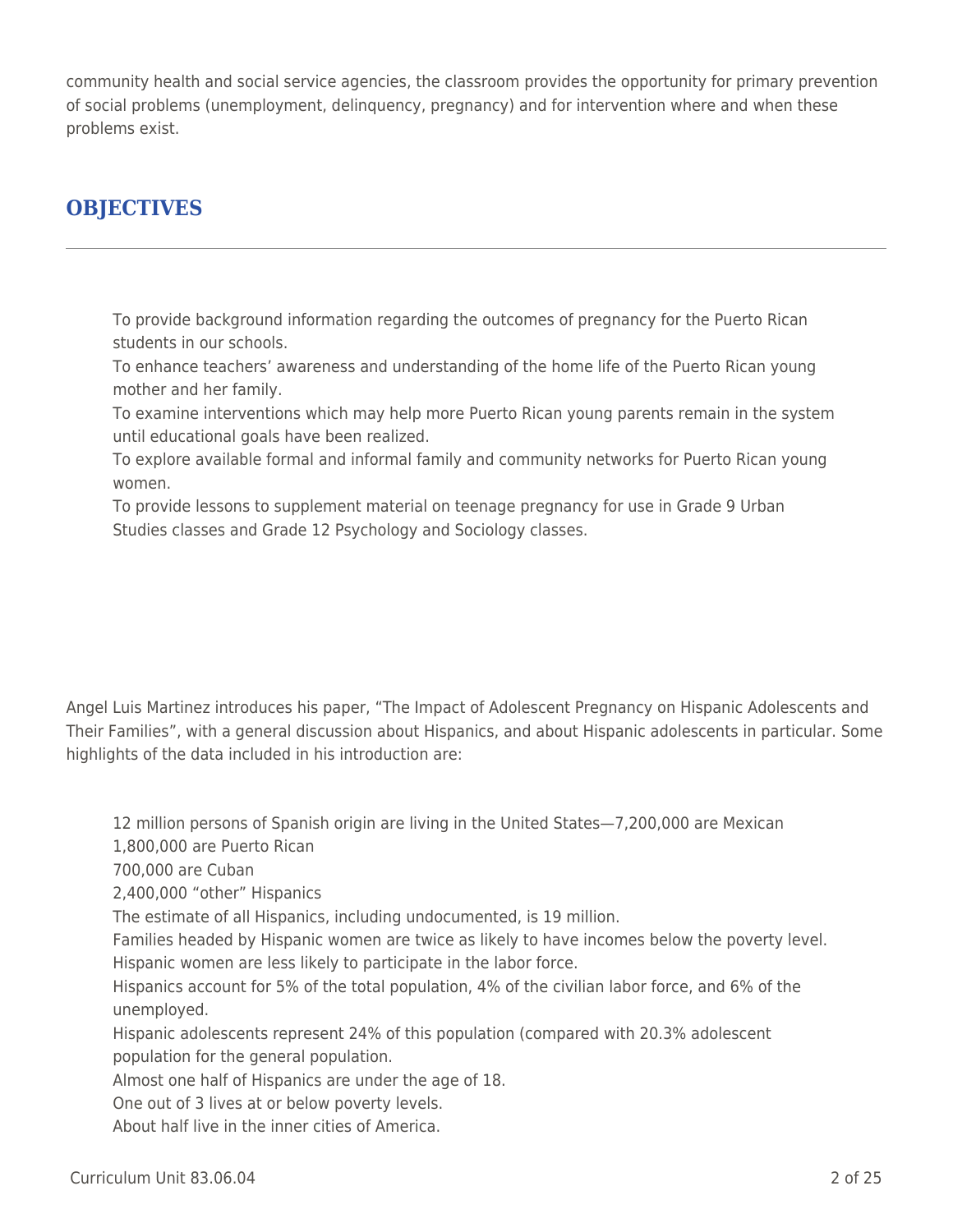community health and social service agencies, the classroom provides the opportunity for primary prevention of social problems (unemployment, delinquency, pregnancy) and for intervention where and when these problems exist.

# **OBJECTIVES**

To provide background information regarding the outcomes of pregnancy for the Puerto Rican students in our schools.

To enhance teachers' awareness and understanding of the home life of the Puerto Rican young mother and her family.

To examine interventions which may help more Puerto Rican young parents remain in the system until educational goals have been realized.

To explore available formal and informal family and community networks for Puerto Rican young women.

To provide lessons to supplement material on teenage pregnancy for use in Grade 9 Urban Studies classes and Grade 12 Psychology and Sociology classes.

Angel Luis Martinez introduces his paper, "The Impact of Adolescent Pregnancy on Hispanic Adolescents and Their Families", with a general discussion about Hispanics, and about Hispanic adolescents in particular. Some highlights of the data included in his introduction are:

12 million persons of Spanish origin are living in the United States—7,200,000 are Mexican

1,800,000 are Puerto Rican

700,000 are Cuban

2,400,000 "other" Hispanics

The estimate of all Hispanics, including undocumented, is 19 million.

Families headed by Hispanic women are twice as likely to have incomes below the poverty level. Hispanic women are less likely to participate in the labor force.

Hispanics account for 5% of the total population, 4% of the civilian labor force, and 6% of the unemployed.

Hispanic adolescents represent 24% of this population (compared with 20.3% adolescent population for the general population.

Almost one half of Hispanics are under the age of 18.

One out of 3 lives at or below poverty levels.

About half live in the inner cities of America.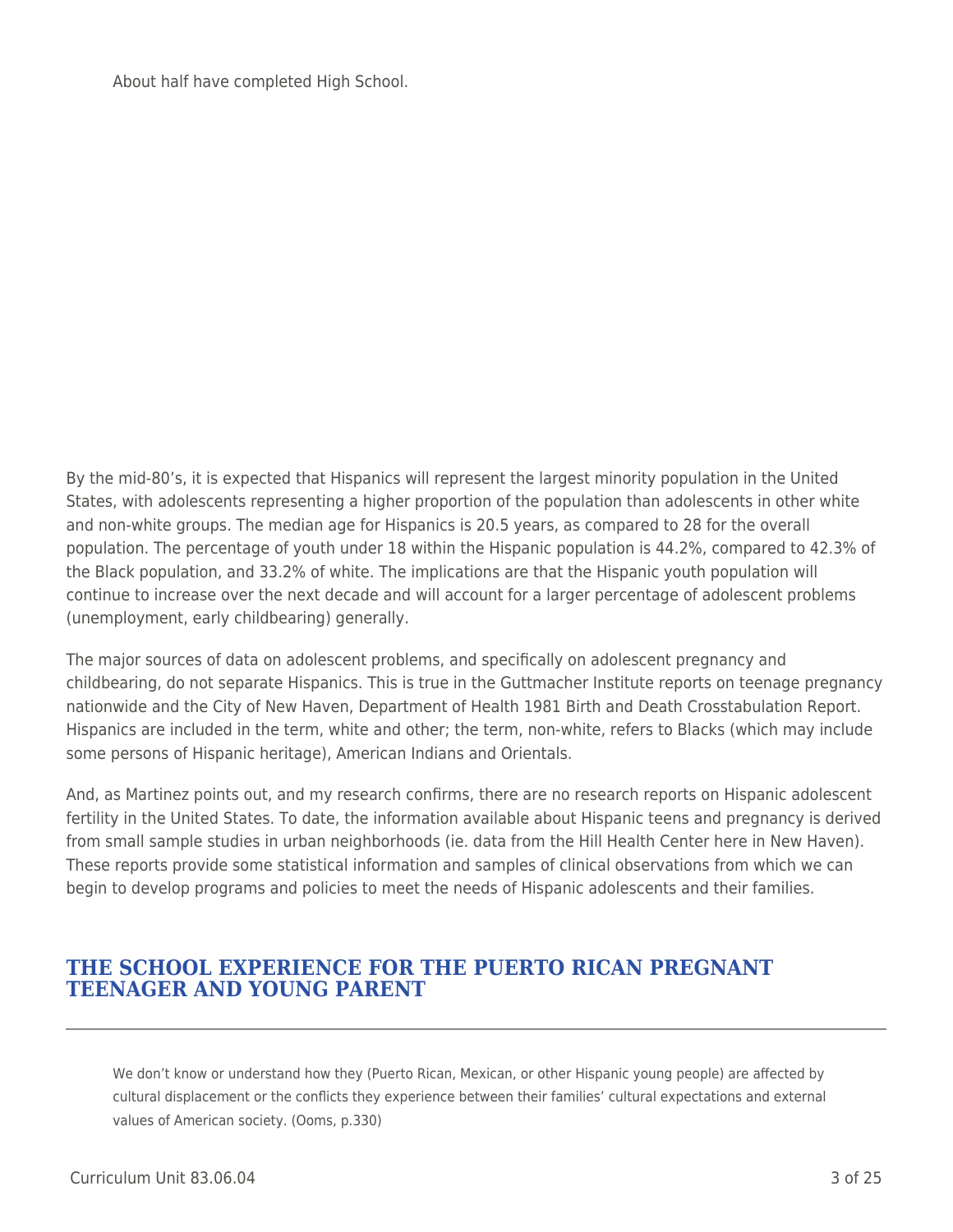About half have completed High School.

By the mid-80's, it is expected that Hispanics will represent the largest minority population in the United States, with adolescents representing a higher proportion of the population than adolescents in other white and non-white groups. The median age for Hispanics is 20.5 years, as compared to 28 for the overall population. The percentage of youth under 18 within the Hispanic population is 44.2%, compared to 42.3% of the Black population, and 33.2% of white. The implications are that the Hispanic youth population will continue to increase over the next decade and will account for a larger percentage of adolescent problems (unemployment, early childbearing) generally.

The major sources of data on adolescent problems, and specifically on adolescent pregnancy and childbearing, do not separate Hispanics. This is true in the Guttmacher Institute reports on teenage pregnancy nationwide and the City of New Haven, Department of Health 1981 Birth and Death Crosstabulation Report. Hispanics are included in the term, white and other; the term, non-white, refers to Blacks (which may include some persons of Hispanic heritage), American Indians and Orientals.

And, as Martinez points out, and my research confirms, there are no research reports on Hispanic adolescent fertility in the United States. To date, the information available about Hispanic teens and pregnancy is derived from small sample studies in urban neighborhoods (ie. data from the Hill Health Center here in New Haven). These reports provide some statistical information and samples of clinical observations from which we can begin to develop programs and policies to meet the needs of Hispanic adolescents and their families.

### **THE SCHOOL EXPERIENCE FOR THE PUERTO RICAN PREGNANT TEENAGER AND YOUNG PARENT**

We don't know or understand how they (Puerto Rican, Mexican, or other Hispanic young people) are affected by cultural displacement or the conflicts they experience between their families' cultural expectations and external values of American society. (Ooms, p.330)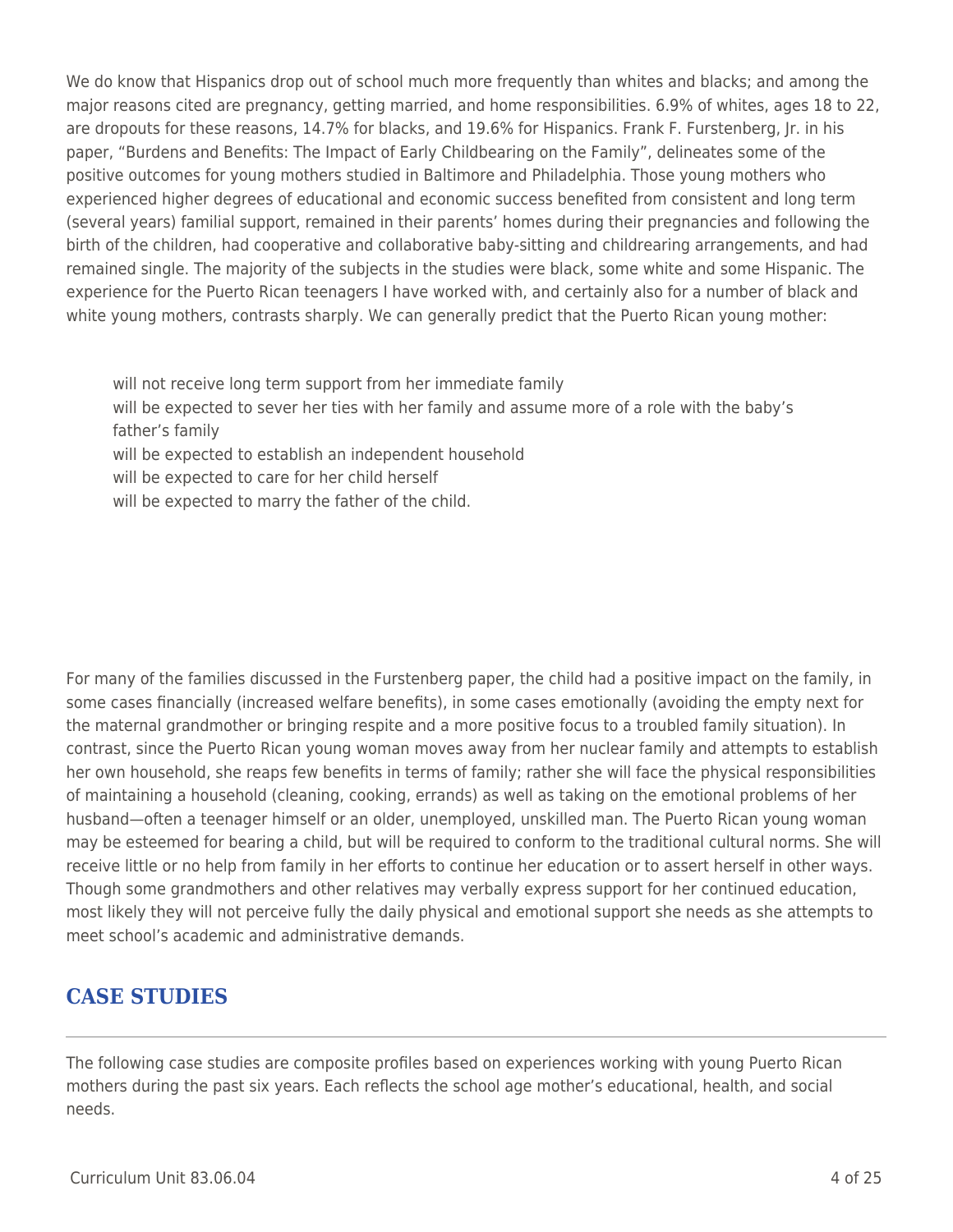We do know that Hispanics drop out of school much more frequently than whites and blacks; and among the major reasons cited are pregnancy, getting married, and home responsibilities. 6.9% of whites, ages 18 to 22, are dropouts for these reasons, 14.7% for blacks, and 19.6% for Hispanics. Frank F. Furstenberg, Jr. in his paper, "Burdens and Benefits: The Impact of Early Childbearing on the Family", delineates some of the positive outcomes for young mothers studied in Baltimore and Philadelphia. Those young mothers who experienced higher degrees of educational and economic success benefited from consistent and long term (several years) familial support, remained in their parents' homes during their pregnancies and following the birth of the children, had cooperative and collaborative baby-sitting and childrearing arrangements, and had remained single. The majority of the subjects in the studies were black, some white and some Hispanic. The experience for the Puerto Rican teenagers I have worked with, and certainly also for a number of black and white young mothers, contrasts sharply. We can generally predict that the Puerto Rican young mother:

- will not receive long term support from her immediate family
- will be expected to sever her ties with her family and assume more of a role with the baby's father's family
- will be expected to establish an independent household
- will be expected to care for her child herself
- will be expected to marry the father of the child.

For many of the families discussed in the Furstenberg paper, the child had a positive impact on the family, in some cases financially (increased welfare benefits), in some cases emotionally (avoiding the empty next for the maternal grandmother or bringing respite and a more positive focus to a troubled family situation). In contrast, since the Puerto Rican young woman moves away from her nuclear family and attempts to establish her own household, she reaps few benefits in terms of family; rather she will face the physical responsibilities of maintaining a household (cleaning, cooking, errands) as well as taking on the emotional problems of her husband—often a teenager himself or an older, unemployed, unskilled man. The Puerto Rican young woman may be esteemed for bearing a child, but will be required to conform to the traditional cultural norms. She will receive little or no help from family in her efforts to continue her education or to assert herself in other ways. Though some grandmothers and other relatives may verbally express support for her continued education, most likely they will not perceive fully the daily physical and emotional support she needs as she attempts to meet school's academic and administrative demands.

## **CASE STUDIES**

The following case studies are composite profiles based on experiences working with young Puerto Rican mothers during the past six years. Each reflects the school age mother's educational, health, and social needs.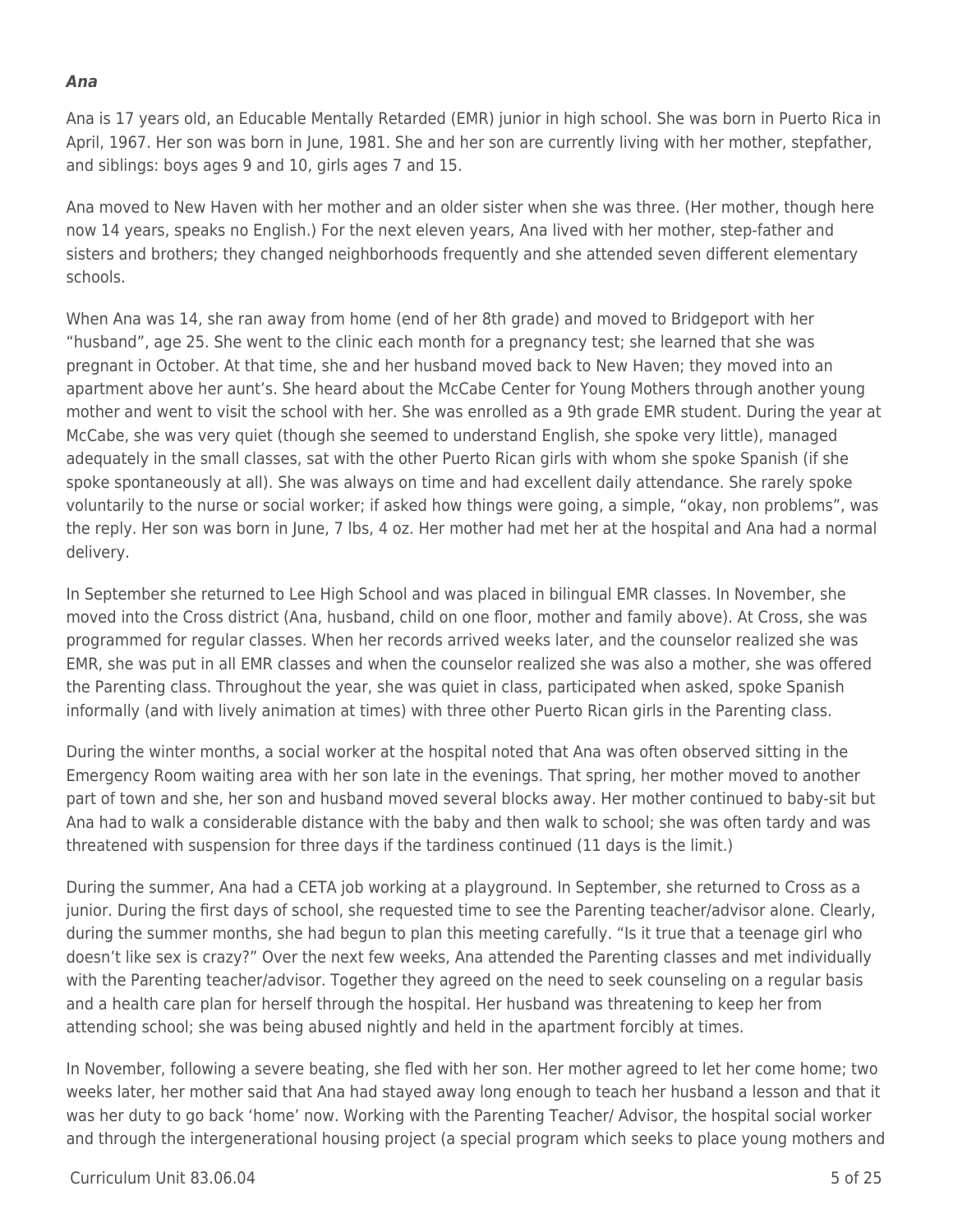#### *Ana*

Ana is 17 years old, an Educable Mentally Retarded (EMR) junior in high school. She was born in Puerto Rica in April, 1967. Her son was born in June, 1981. She and her son are currently living with her mother, stepfather, and siblings: boys ages 9 and 10, girls ages 7 and 15.

Ana moved to New Haven with her mother and an older sister when she was three. (Her mother, though here now 14 years, speaks no English.) For the next eleven years, Ana lived with her mother, step-father and sisters and brothers; they changed neighborhoods frequently and she attended seven different elementary schools.

When Ana was 14, she ran away from home (end of her 8th grade) and moved to Bridgeport with her "husband", age 25. She went to the clinic each month for a pregnancy test; she learned that she was pregnant in October. At that time, she and her husband moved back to New Haven; they moved into an apartment above her aunt's. She heard about the McCabe Center for Young Mothers through another young mother and went to visit the school with her. She was enrolled as a 9th grade EMR student. During the year at McCabe, she was very quiet (though she seemed to understand English, she spoke very little), managed adequately in the small classes, sat with the other Puerto Rican girls with whom she spoke Spanish (if she spoke spontaneously at all). She was always on time and had excellent daily attendance. She rarely spoke voluntarily to the nurse or social worker; if asked how things were going, a simple, "okay, non problems", was the reply. Her son was born in June, 7 lbs, 4 oz. Her mother had met her at the hospital and Ana had a normal delivery.

In September she returned to Lee High School and was placed in bilingual EMR classes. In November, she moved into the Cross district (Ana, husband, child on one floor, mother and family above). At Cross, she was programmed for regular classes. When her records arrived weeks later, and the counselor realized she was EMR, she was put in all EMR classes and when the counselor realized she was also a mother, she was offered the Parenting class. Throughout the year, she was quiet in class, participated when asked, spoke Spanish informally (and with lively animation at times) with three other Puerto Rican girls in the Parenting class.

During the winter months, a social worker at the hospital noted that Ana was often observed sitting in the Emergency Room waiting area with her son late in the evenings. That spring, her mother moved to another part of town and she, her son and husband moved several blocks away. Her mother continued to baby-sit but Ana had to walk a considerable distance with the baby and then walk to school; she was often tardy and was threatened with suspension for three days if the tardiness continued (11 days is the limit.)

During the summer, Ana had a CETA job working at a playground. In September, she returned to Cross as a junior. During the first days of school, she requested time to see the Parenting teacher/advisor alone. Clearly, during the summer months, she had begun to plan this meeting carefully. "Is it true that a teenage girl who doesn't like sex is crazy?" Over the next few weeks, Ana attended the Parenting classes and met individually with the Parenting teacher/advisor. Together they agreed on the need to seek counseling on a regular basis and a health care plan for herself through the hospital. Her husband was threatening to keep her from attending school; she was being abused nightly and held in the apartment forcibly at times.

In November, following a severe beating, she fled with her son. Her mother agreed to let her come home; two weeks later, her mother said that Ana had stayed away long enough to teach her husband a lesson and that it was her duty to go back 'home' now. Working with the Parenting Teacher/ Advisor, the hospital social worker and through the intergenerational housing project (a special program which seeks to place young mothers and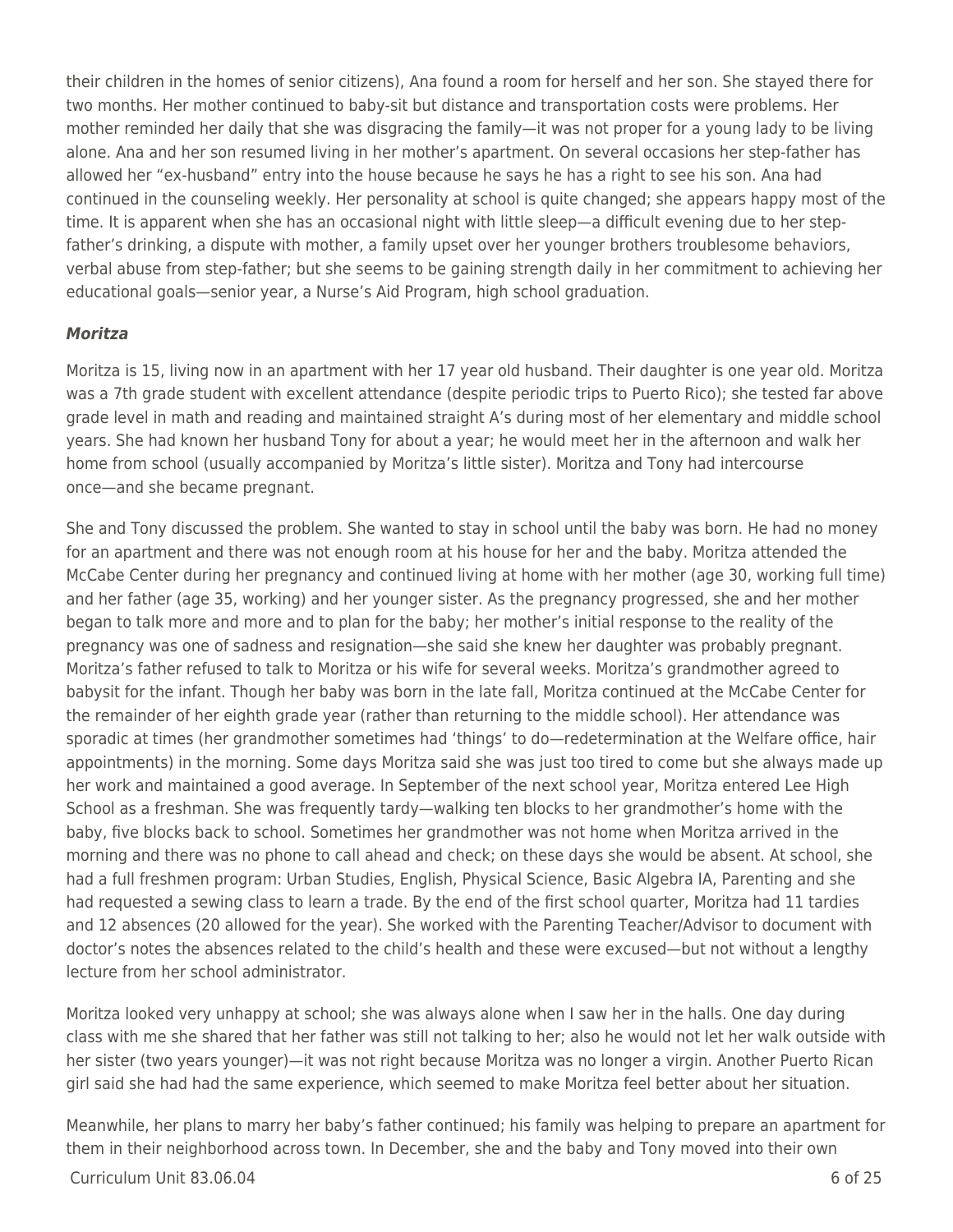their children in the homes of senior citizens), Ana found a room for herself and her son. She stayed there for two months. Her mother continued to baby-sit but distance and transportation costs were problems. Her mother reminded her daily that she was disgracing the family—it was not proper for a young lady to be living alone. Ana and her son resumed living in her mother's apartment. On several occasions her step-father has allowed her "ex-husband" entry into the house because he says he has a right to see his son. Ana had continued in the counseling weekly. Her personality at school is quite changed; she appears happy most of the time. It is apparent when she has an occasional night with little sleep—a difficult evening due to her stepfather's drinking, a dispute with mother, a family upset over her younger brothers troublesome behaviors, verbal abuse from step-father; but she seems to be gaining strength daily in her commitment to achieving her educational goals—senior year, a Nurse's Aid Program, high school graduation.

### *Moritza*

Moritza is 15, living now in an apartment with her 17 year old husband. Their daughter is one year old. Moritza was a 7th grade student with excellent attendance (despite periodic trips to Puerto Rico); she tested far above grade level in math and reading and maintained straight A's during most of her elementary and middle school years. She had known her husband Tony for about a year; he would meet her in the afternoon and walk her home from school (usually accompanied by Moritza's little sister). Moritza and Tony had intercourse once—and she became pregnant.

She and Tony discussed the problem. She wanted to stay in school until the baby was born. He had no money for an apartment and there was not enough room at his house for her and the baby. Moritza attended the McCabe Center during her pregnancy and continued living at home with her mother (age 30, working full time) and her father (age 35, working) and her younger sister. As the pregnancy progressed, she and her mother began to talk more and more and to plan for the baby; her mother's initial response to the reality of the pregnancy was one of sadness and resignation—she said she knew her daughter was probably pregnant. Moritza's father refused to talk to Moritza or his wife for several weeks. Moritza's grandmother agreed to babysit for the infant. Though her baby was born in the late fall, Moritza continued at the McCabe Center for the remainder of her eighth grade year (rather than returning to the middle school). Her attendance was sporadic at times (her grandmother sometimes had 'things' to do—redetermination at the Welfare office, hair appointments) in the morning. Some days Moritza said she was just too tired to come but she always made up her work and maintained a good average. In September of the next school year, Moritza entered Lee High School as a freshman. She was frequently tardy—walking ten blocks to her grandmother's home with the baby, five blocks back to school. Sometimes her grandmother was not home when Moritza arrived in the morning and there was no phone to call ahead and check; on these days she would be absent. At school, she had a full freshmen program: Urban Studies, English, Physical Science, Basic Algebra IA, Parenting and she had requested a sewing class to learn a trade. By the end of the first school quarter, Moritza had 11 tardies and 12 absences (20 allowed for the year). She worked with the Parenting Teacher/Advisor to document with doctor's notes the absences related to the child's health and these were excused—but not without a lengthy lecture from her school administrator.

Moritza looked very unhappy at school; she was always alone when I saw her in the halls. One day during class with me she shared that her father was still not talking to her; also he would not let her walk outside with her sister (two years younger)—it was not right because Moritza was no longer a virgin. Another Puerto Rican girl said she had had the same experience, which seemed to make Moritza feel better about her situation.

Meanwhile, her plans to marry her baby's father continued; his family was helping to prepare an apartment for them in their neighborhood across town. In December, she and the baby and Tony moved into their own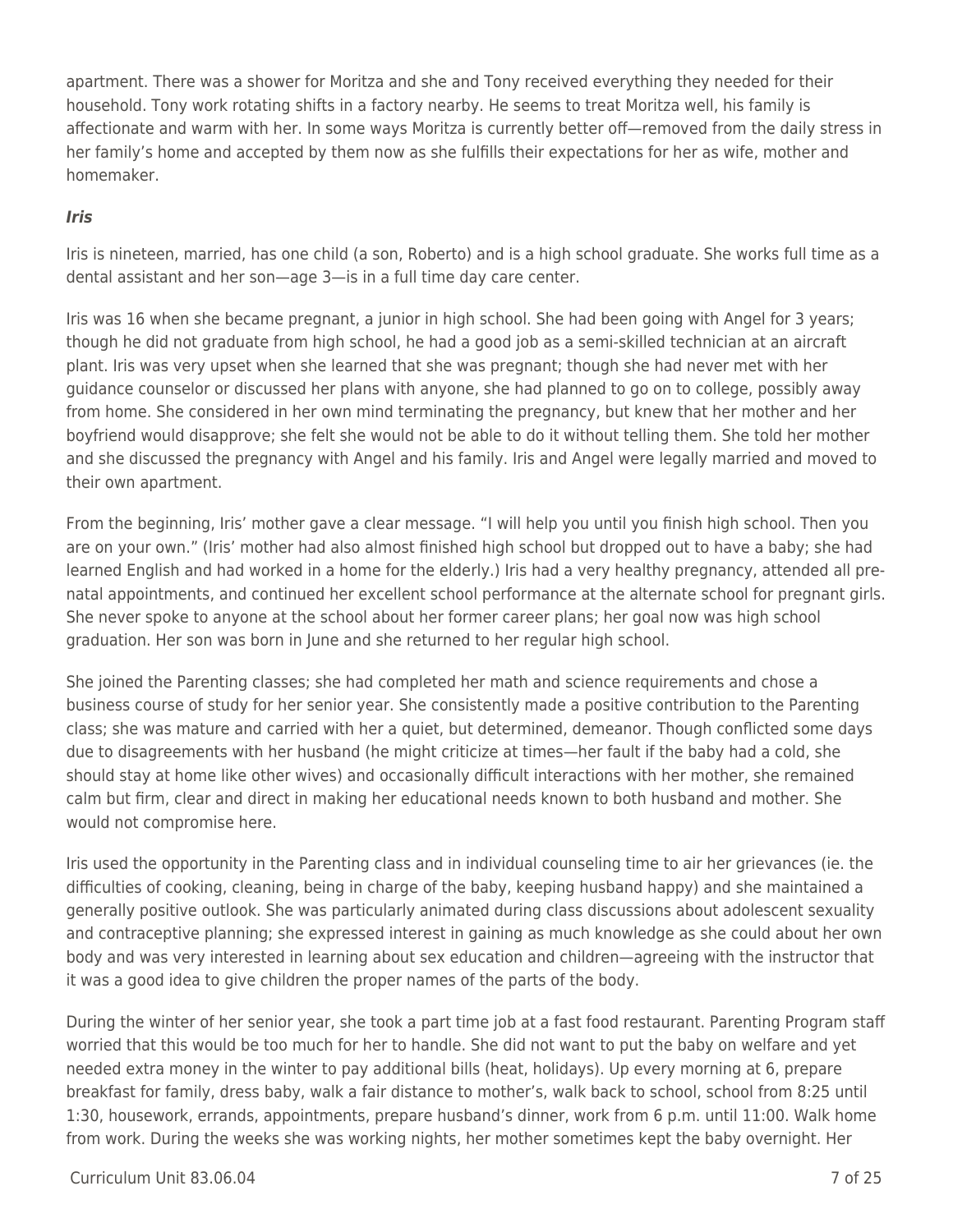apartment. There was a shower for Moritza and she and Tony received everything they needed for their household. Tony work rotating shifts in a factory nearby. He seems to treat Moritza well, his family is affectionate and warm with her. In some ways Moritza is currently better off—removed from the daily stress in her family's home and accepted by them now as she fulfills their expectations for her as wife, mother and homemaker.

#### *Iris*

Iris is nineteen, married, has one child (a son, Roberto) and is a high school graduate. She works full time as a dental assistant and her son—age 3—is in a full time day care center.

Iris was 16 when she became pregnant, a junior in high school. She had been going with Angel for 3 years; though he did not graduate from high school, he had a good job as a semi-skilled technician at an aircraft plant. Iris was very upset when she learned that she was pregnant; though she had never met with her guidance counselor or discussed her plans with anyone, she had planned to go on to college, possibly away from home. She considered in her own mind terminating the pregnancy, but knew that her mother and her boyfriend would disapprove; she felt she would not be able to do it without telling them. She told her mother and she discussed the pregnancy with Angel and his family. Iris and Angel were legally married and moved to their own apartment.

From the beginning, Iris' mother gave a clear message. "I will help you until you finish high school. Then you are on your own." (Iris' mother had also almost finished high school but dropped out to have a baby; she had learned English and had worked in a home for the elderly.) Iris had a very healthy pregnancy, attended all prenatal appointments, and continued her excellent school performance at the alternate school for pregnant girls. She never spoke to anyone at the school about her former career plans; her goal now was high school graduation. Her son was born in June and she returned to her regular high school.

She joined the Parenting classes; she had completed her math and science requirements and chose a business course of study for her senior year. She consistently made a positive contribution to the Parenting class; she was mature and carried with her a quiet, but determined, demeanor. Though conflicted some days due to disagreements with her husband (he might criticize at times—her fault if the baby had a cold, she should stay at home like other wives) and occasionally difficult interactions with her mother, she remained calm but firm, clear and direct in making her educational needs known to both husband and mother. She would not compromise here.

Iris used the opportunity in the Parenting class and in individual counseling time to air her grievances (ie. the difficulties of cooking, cleaning, being in charge of the baby, keeping husband happy) and she maintained a generally positive outlook. She was particularly animated during class discussions about adolescent sexuality and contraceptive planning; she expressed interest in gaining as much knowledge as she could about her own body and was very interested in learning about sex education and children—agreeing with the instructor that it was a good idea to give children the proper names of the parts of the body.

During the winter of her senior year, she took a part time job at a fast food restaurant. Parenting Program staff worried that this would be too much for her to handle. She did not want to put the baby on welfare and yet needed extra money in the winter to pay additional bills (heat, holidays). Up every morning at 6, prepare breakfast for family, dress baby, walk a fair distance to mother's, walk back to school, school from 8:25 until 1:30, housework, errands, appointments, prepare husband's dinner, work from 6 p.m. until 11:00. Walk home from work. During the weeks she was working nights, her mother sometimes kept the baby overnight. Her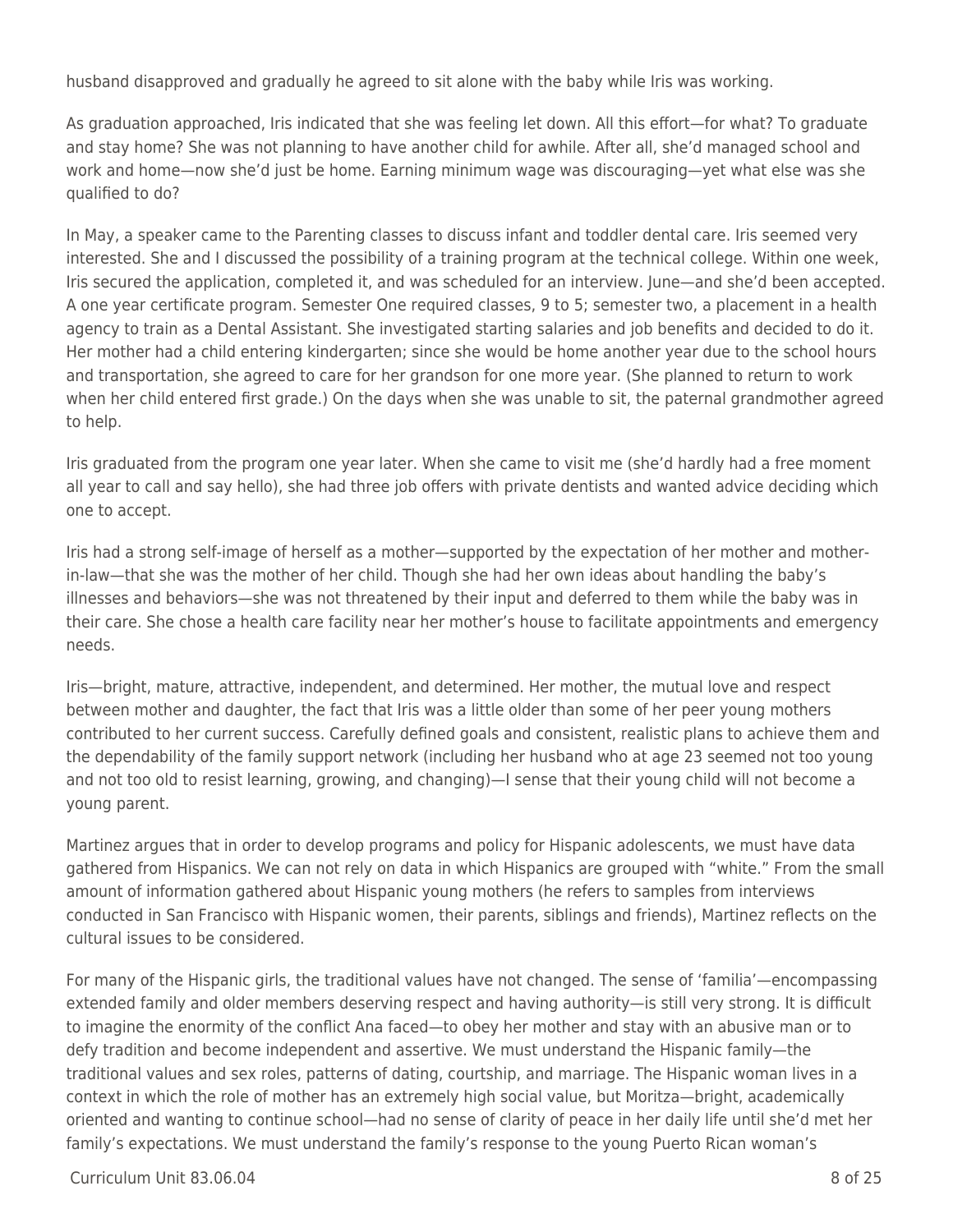husband disapproved and gradually he agreed to sit alone with the baby while Iris was working.

As graduation approached, Iris indicated that she was feeling let down. All this effort—for what? To graduate and stay home? She was not planning to have another child for awhile. After all, she'd managed school and work and home—now she'd just be home. Earning minimum wage was discouraging—yet what else was she qualified to do?

In May, a speaker came to the Parenting classes to discuss infant and toddler dental care. Iris seemed very interested. She and I discussed the possibility of a training program at the technical college. Within one week, Iris secured the application, completed it, and was scheduled for an interview. June—and she'd been accepted. A one year certificate program. Semester One required classes, 9 to 5; semester two, a placement in a health agency to train as a Dental Assistant. She investigated starting salaries and job benefits and decided to do it. Her mother had a child entering kindergarten; since she would be home another year due to the school hours and transportation, she agreed to care for her grandson for one more year. (She planned to return to work when her child entered first grade.) On the days when she was unable to sit, the paternal grandmother agreed to help.

Iris graduated from the program one year later. When she came to visit me (she'd hardly had a free moment all year to call and say hello), she had three job offers with private dentists and wanted advice deciding which one to accept.

Iris had a strong self-image of herself as a mother—supported by the expectation of her mother and motherin-law—that she was the mother of her child. Though she had her own ideas about handling the baby's illnesses and behaviors—she was not threatened by their input and deferred to them while the baby was in their care. She chose a health care facility near her mother's house to facilitate appointments and emergency needs.

Iris—bright, mature, attractive, independent, and determined. Her mother, the mutual love and respect between mother and daughter, the fact that Iris was a little older than some of her peer young mothers contributed to her current success. Carefully defined goals and consistent, realistic plans to achieve them and the dependability of the family support network (including her husband who at age 23 seemed not too young and not too old to resist learning, growing, and changing)—I sense that their young child will not become a young parent.

Martinez argues that in order to develop programs and policy for Hispanic adolescents, we must have data gathered from Hispanics. We can not rely on data in which Hispanics are grouped with "white." From the small amount of information gathered about Hispanic young mothers (he refers to samples from interviews conducted in San Francisco with Hispanic women, their parents, siblings and friends), Martinez reflects on the cultural issues to be considered.

For many of the Hispanic girls, the traditional values have not changed. The sense of 'familia'—encompassing extended family and older members deserving respect and having authority—is still very strong. It is difficult to imagine the enormity of the conflict Ana faced—to obey her mother and stay with an abusive man or to defy tradition and become independent and assertive. We must understand the Hispanic family—the traditional values and sex roles, patterns of dating, courtship, and marriage. The Hispanic woman lives in a context in which the role of mother has an extremely high social value, but Moritza—bright, academically oriented and wanting to continue school—had no sense of clarity of peace in her daily life until she'd met her family's expectations. We must understand the family's response to the young Puerto Rican woman's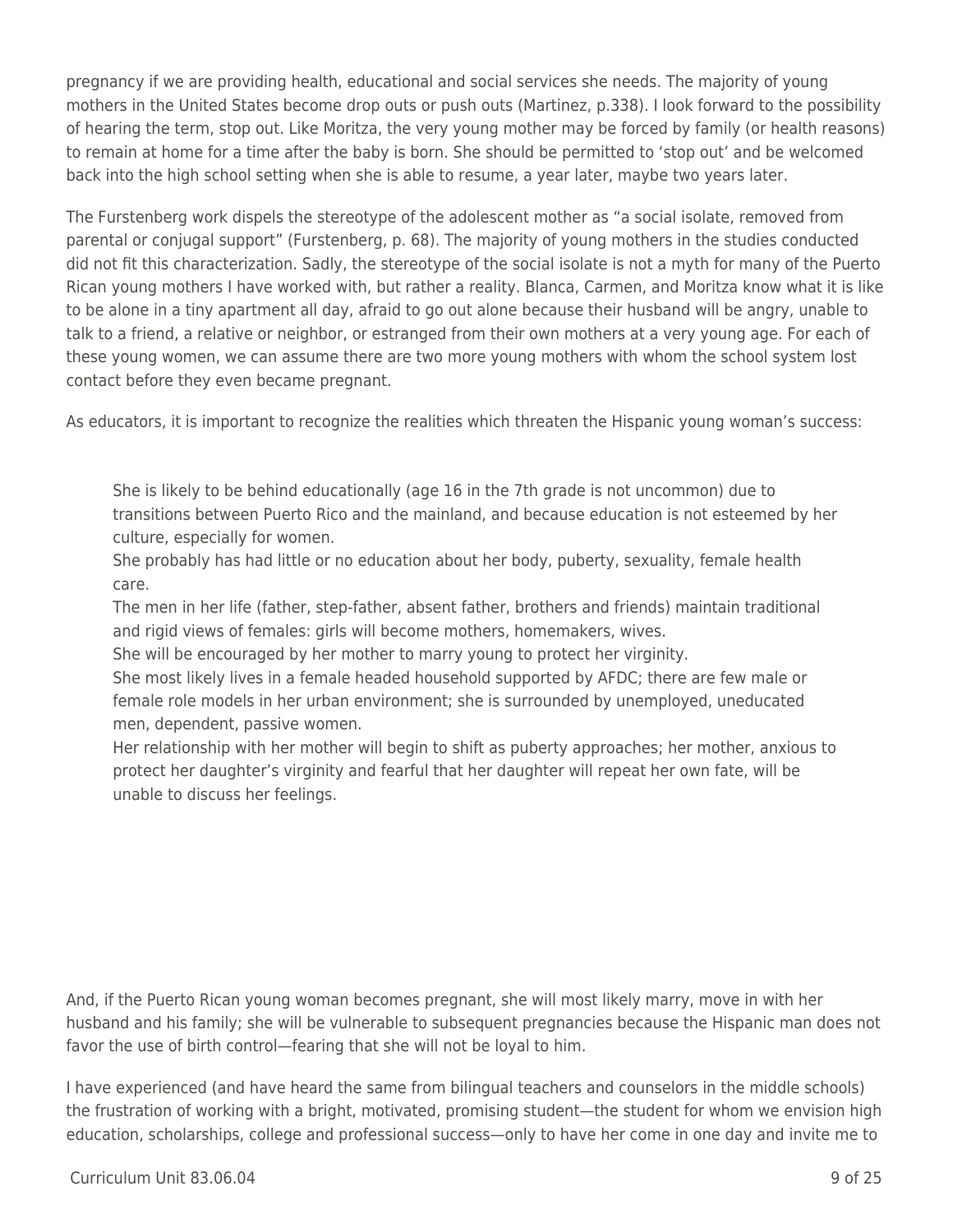pregnancy if we are providing health, educational and social services she needs. The majority of young mothers in the United States become drop outs or push outs (Martinez, p.338). I look forward to the possibility of hearing the term, stop out. Like Moritza, the very young mother may be forced by family (or health reasons) to remain at home for a time after the baby is born. She should be permitted to 'stop out' and be welcomed back into the high school setting when she is able to resume, a year later, maybe two years later.

The Furstenberg work dispels the stereotype of the adolescent mother as "a social isolate, removed from parental or conjugal support" (Furstenberg, p. 68). The majority of young mothers in the studies conducted did not fit this characterization. Sadly, the stereotype of the social isolate is not a myth for many of the Puerto Rican young mothers I have worked with, but rather a reality. Blanca, Carmen, and Moritza know what it is like to be alone in a tiny apartment all day, afraid to go out alone because their husband will be angry, unable to talk to a friend, a relative or neighbor, or estranged from their own mothers at a very young age. For each of these young women, we can assume there are two more young mothers with whom the school system lost contact before they even became pregnant.

As educators, it is important to recognize the realities which threaten the Hispanic young woman's success:

She is likely to be behind educationally (age 16 in the 7th grade is not uncommon) due to transitions between Puerto Rico and the mainland, and because education is not esteemed by her culture, especially for women.

She probably has had little or no education about her body, puberty, sexuality, female health care.

The men in her life (father, step-father, absent father, brothers and friends) maintain traditional and rigid views of females: girls will become mothers, homemakers, wives.

She will be encouraged by her mother to marry young to protect her virginity.

She most likely lives in a female headed household supported by AFDC; there are few male or female role models in her urban environment; she is surrounded by unemployed, uneducated men, dependent, passive women.

Her relationship with her mother will begin to shift as puberty approaches; her mother, anxious to protect her daughter's virginity and fearful that her daughter will repeat her own fate, will be unable to discuss her feelings.

And, if the Puerto Rican young woman becomes pregnant, she will most likely marry, move in with her husband and his family; she will be vulnerable to subsequent pregnancies because the Hispanic man does not favor the use of birth control—fearing that she will not be loyal to him.

I have experienced (and have heard the same from bilingual teachers and counselors in the middle schools) the frustration of working with a bright, motivated, promising student—the student for whom we envision high education, scholarships, college and professional success—only to have her come in one day and invite me to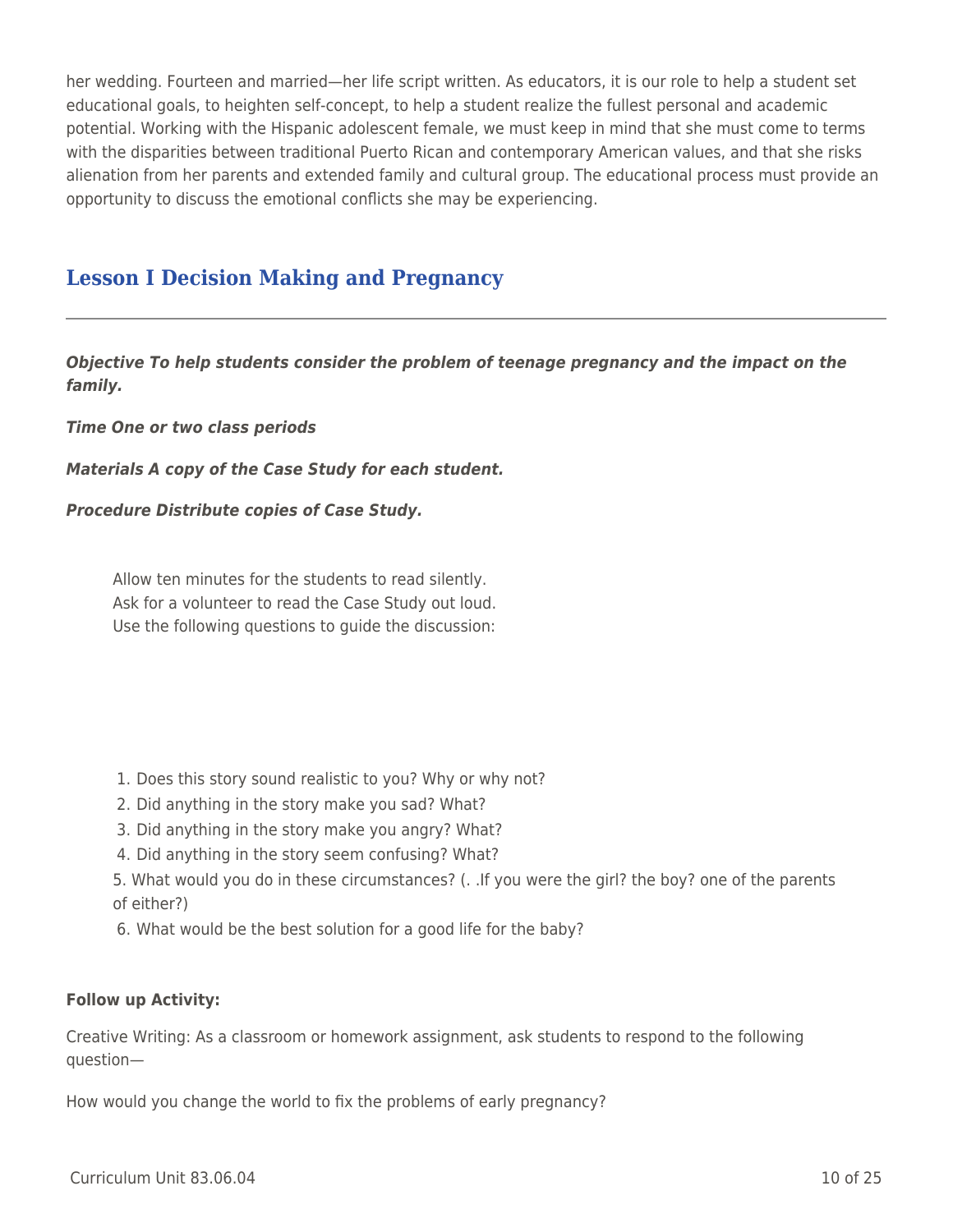her wedding. Fourteen and married—her life script written. As educators, it is our role to help a student set educational goals, to heighten self-concept, to help a student realize the fullest personal and academic potential. Working with the Hispanic adolescent female, we must keep in mind that she must come to terms with the disparities between traditional Puerto Rican and contemporary American values, and that she risks alienation from her parents and extended family and cultural group. The educational process must provide an opportunity to discuss the emotional conflicts she may be experiencing.

## **Lesson I Decision Making and Pregnancy**

*Objective To help students consider the problem of teenage pregnancy and the impact on the family.*

*Time One or two class periods*

*Materials A copy of the Case Study for each student.*

*Procedure Distribute copies of Case Study.*

Allow ten minutes for the students to read silently. Ask for a volunteer to read the Case Study out loud. Use the following questions to guide the discussion:

- 1. Does this story sound realistic to you? Why or why not?
- 2. Did anything in the story make you sad? What?
- 3. Did anything in the story make you angry? What?
- 4. Did anything in the story seem confusing? What?
- 5. What would you do in these circumstances? (. .If you were the girl? the boy? one of the parents of either?)
- 6. What would be the best solution for a good life for the baby?

#### **Follow up Activity:**

Creative Writing: As a classroom or homework assignment, ask students to respond to the following question—

How would you change the world to fix the problems of early pregnancy?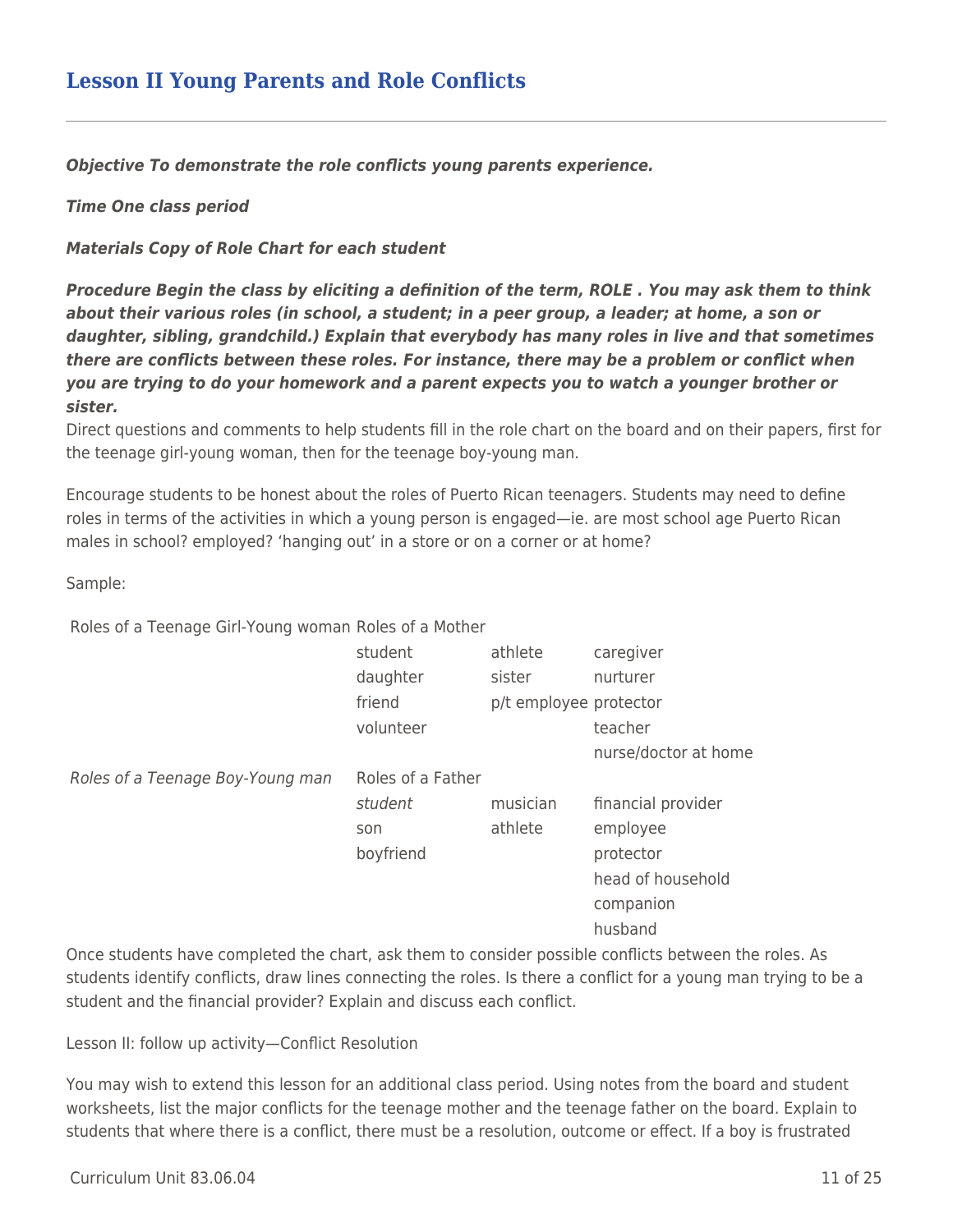*Objective To demonstrate the role conflicts young parents experience.*

*Time One class period*

*Materials Copy of Role Chart for each student*

*Procedure Begin the class by eliciting a definition of the term, ROLE . You may ask them to think about their various roles (in school, a student; in a peer group, a leader; at home, a son or daughter, sibling, grandchild.) Explain that everybody has many roles in live and that sometimes there are conflicts between these roles. For instance, there may be a problem or conflict when you are trying to do your homework and a parent expects you to watch a younger brother or sister.*

Direct questions and comments to help students fill in the role chart on the board and on their papers, first for the teenage girl-young woman, then for the teenage boy-young man.

Encourage students to be honest about the roles of Puerto Rican teenagers. Students may need to define roles in terms of the activities in which a young person is engaged—ie. are most school age Puerto Rican males in school? employed? 'hanging out' in a store or on a corner or at home?

Sample:

Roles of a Teenage Girl-Young woman Roles of a Mother

|                                                                                                  | student           | athlete                | caregiver            |
|--------------------------------------------------------------------------------------------------|-------------------|------------------------|----------------------|
|                                                                                                  | daughter          | sister                 | nurturer             |
|                                                                                                  | friend            | p/t employee protector |                      |
|                                                                                                  | volunteer         |                        | teacher              |
|                                                                                                  |                   |                        | nurse/doctor at home |
| Roles of a Teenage Boy-Young man                                                                 | Roles of a Father |                        |                      |
|                                                                                                  | student           | musician               | financial provider   |
|                                                                                                  | son               | athlete                | employee             |
|                                                                                                  | boyfriend         |                        | protector            |
|                                                                                                  |                   |                        | head of household    |
|                                                                                                  |                   |                        | companion            |
|                                                                                                  |                   |                        | husband              |
| Oneo chudento lesso completad the olech politicale of themes and developed and into hot used the |                   |                        |                      |

Once students have completed the chart, ask them to consider possible conflicts between the roles. As students identify conflicts, draw lines connecting the roles. Is there a conflict for a young man trying to be a student and the financial provider? Explain and discuss each conflict.

Lesson II: follow up activity—Conflict Resolution

You may wish to extend this lesson for an additional class period. Using notes from the board and student worksheets, list the major conflicts for the teenage mother and the teenage father on the board. Explain to students that where there is a conflict, there must be a resolution, outcome or effect. If a boy is frustrated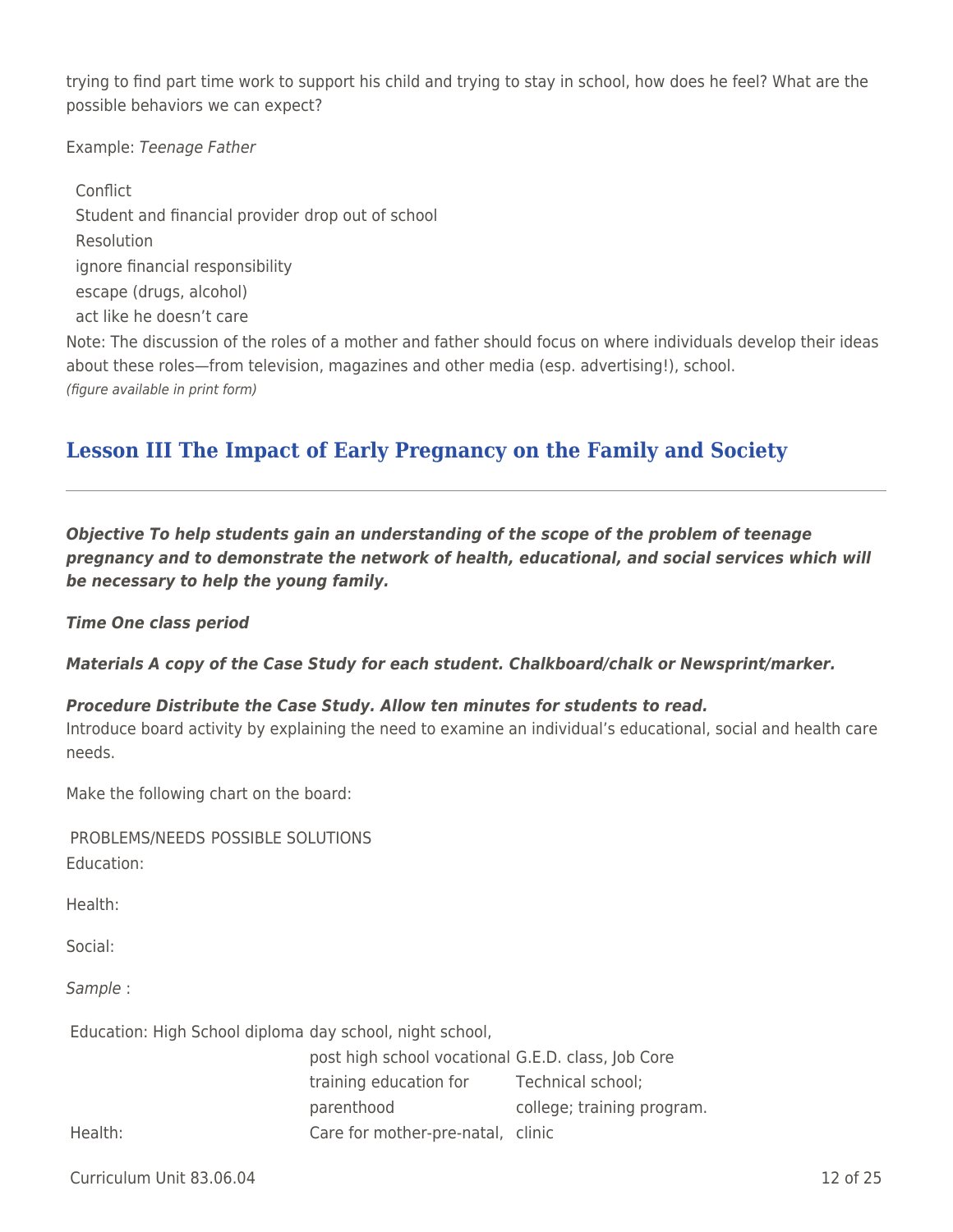trying to find part time work to support his child and trying to stay in school, how does he feel? What are the possible behaviors we can expect?

Example: Teenage Father

Conflict Student and financial provider drop out of school Resolution ignore financial responsibility escape (drugs, alcohol) act like he doesn't care Note: The discussion of the roles of a mother and father should focus on where individuals develop their ideas about these roles—from television, magazines and other media (esp. advertising!), school. (figure available in print form)

## **Lesson III The Impact of Early Pregnancy on the Family and Society**

*Objective To help students gain an understanding of the scope of the problem of teenage pregnancy and to demonstrate the network of health, educational, and social services which will be necessary to help the young family.*

*Time One class period*

*Materials A copy of the Case Study for each student. Chalkboard/chalk or Newsprint/marker.*

#### *Procedure Distribute the Case Study. Allow ten minutes for students to read.*

Introduce board activity by explaining the need to examine an individual's educational, social and health care needs.

Make the following chart on the board:

PROBLEMS/NEEDS POSSIBLE SOLUTIONS Education:

Health:

Social:

Sample :

Education: High School diploma day school, night school,

|         | post high school vocational G.E.D. class, Job Core |                            |
|---------|----------------------------------------------------|----------------------------|
|         | training education for                             | Technical school;          |
|         | parenthood                                         | college; training program. |
| Health: | Care for mother-pre-natal, clinic                  |                            |

Curriculum Unit 83.06.04 12 of 25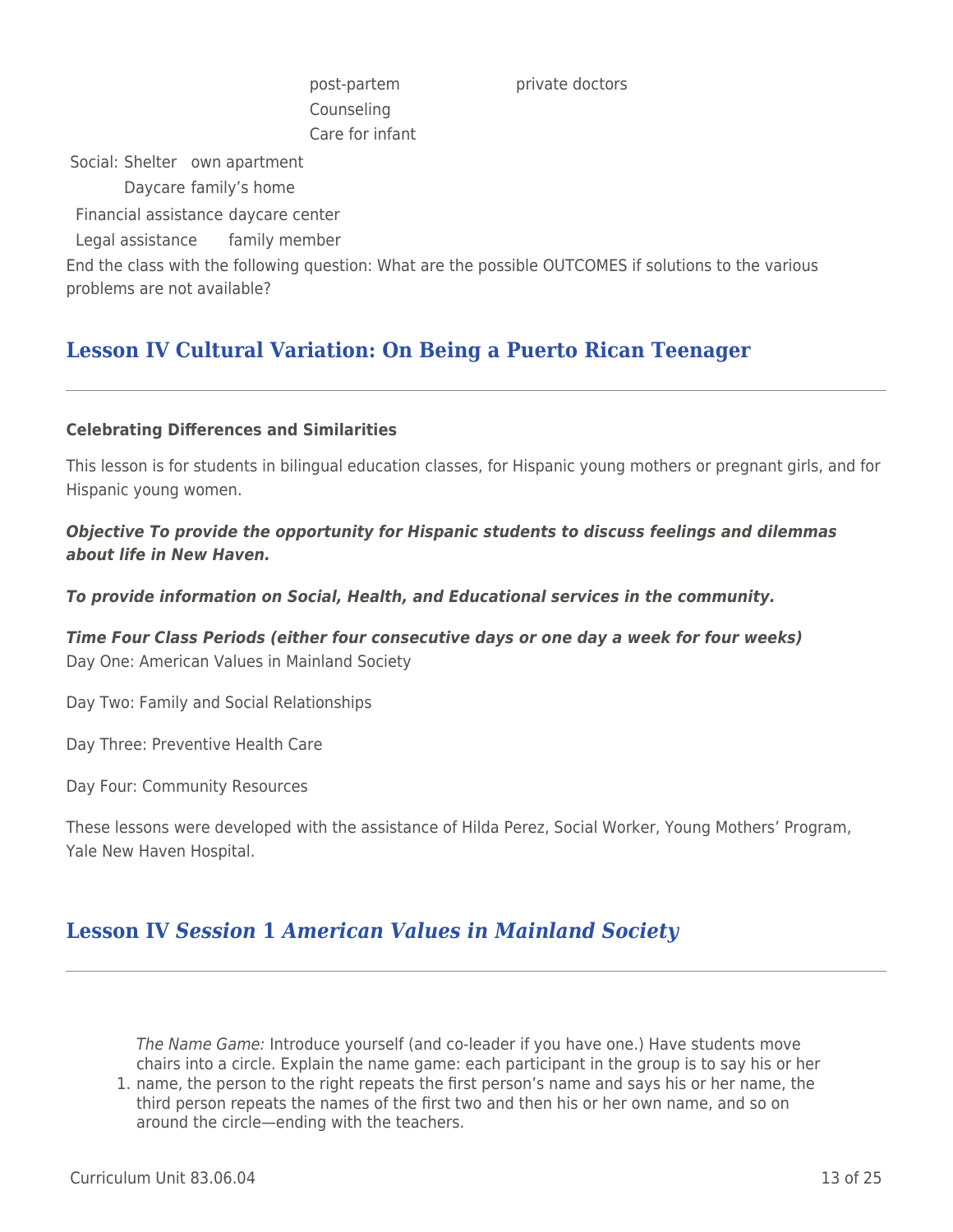Counseling Care for infant

post-partem private doctors

Social: Shelter own apartment

Daycare family's home

Financial assistance daycare center

Legal assistance family member

End the class with the following question: What are the possible OUTCOMES if solutions to the various problems are not available?

# **Lesson IV Cultural Variation: On Being a Puerto Rican Teenager**

### **Celebrating Differences and Similarities**

This lesson is for students in bilingual education classes, for Hispanic young mothers or pregnant girls, and for Hispanic young women.

*Objective To provide the opportunity for Hispanic students to discuss feelings and dilemmas about life in New Haven.*

*To provide information on Social, Health, and Educational services in the community.*

*Time Four Class Periods (either four consecutive days or one day a week for four weeks)* Day One: American Values in Mainland Society

Day Two: Family and Social Relationships

Day Three: Preventive Health Care

Day Four: Community Resources

These lessons were developed with the assistance of Hilda Perez, Social Worker, Young Mothers' Program, Yale New Haven Hospital.

## **Lesson IV** *Session* **1** *American Values in Mainland Society*

The Name Game: Introduce yourself (and co-leader if you have one.) Have students move chairs into a circle. Explain the name game: each participant in the group is to say his or her

1. name, the person to the right repeats the first person's name and says his or her name, the third person repeats the names of the first two and then his or her own name, and so on around the circle—ending with the teachers.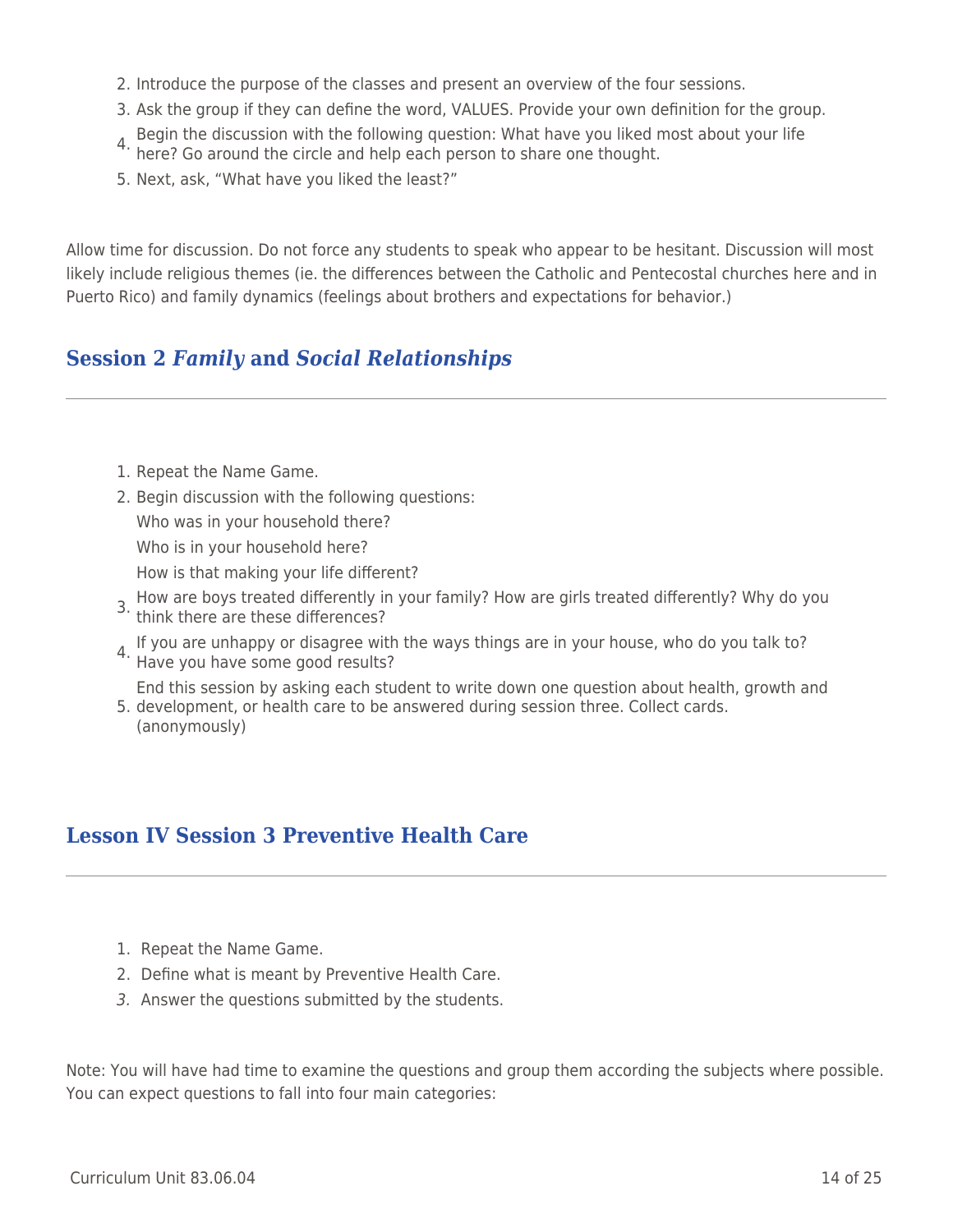- 2. Introduce the purpose of the classes and present an overview of the four sessions.
- 3. Ask the group if they can define the word, VALUES. Provide your own definition for the group.
- 4. Begin the discussion with the following question: What have you liked most about your life here? Go around the circle and help each person to share one thought.
- 
- 5. Next, ask, "What have you liked the least?"

Allow time for discussion. Do not force any students to speak who appear to be hesitant. Discussion will most likely include religious themes (ie. the differences between the Catholic and Pentecostal churches here and in Puerto Rico) and family dynamics (feelings about brothers and expectations for behavior.)

## **Session 2** *Family* **and** *Social Relationships*

- 1. Repeat the Name Game.
- 2. Begin discussion with the following questions: Who was in your household there? Who is in your household here? How is that making your life different?
- 3. How are boys treated differently in your family? How are girls treated differently? Why do you 3. How are poys created.  $\frac{1}{2}$  and the area these differences?
- 4. If you are unhappy or disagree with the ways things are in your house, who do you talk to? Have you have some good results?

5. development, or health care to be answered during session three. Collect cards. End this session by asking each student to write down one question about health, growth and

(anonymously)

## **Lesson IV Session 3 Preventive Health Care**

- 1. Repeat the Name Game.
- 2. Define what is meant by Preventive Health Care.
- 3. Answer the questions submitted by the students.

Note: You will have had time to examine the questions and group them according the subjects where possible. You can expect questions to fall into four main categories: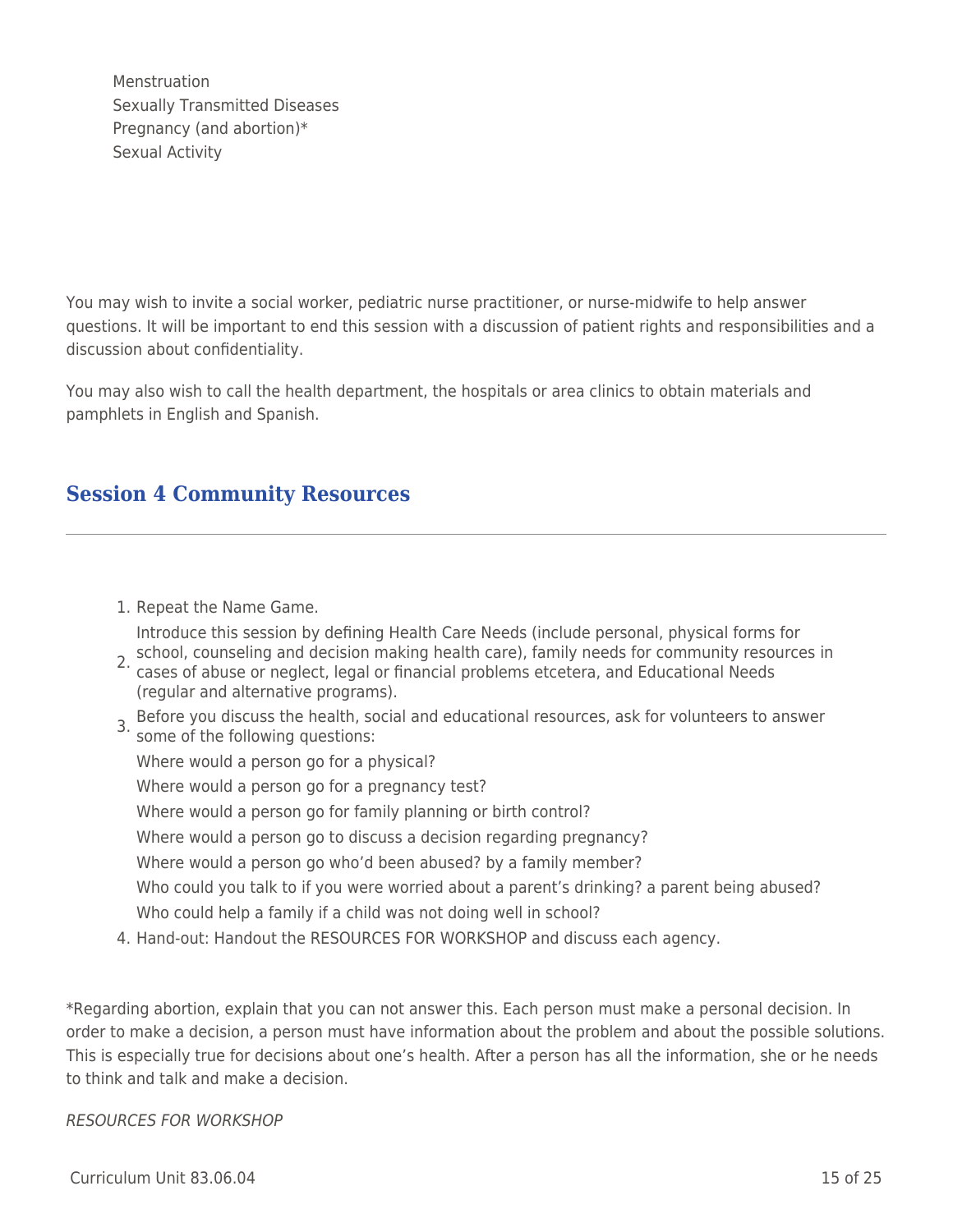Menstruation Sexually Transmitted Diseases Pregnancy (and abortion)\* Sexual Activity

You may wish to invite a social worker, pediatric nurse practitioner, or nurse-midwife to help answer questions. It will be important to end this session with a discussion of patient rights and responsibilities and a discussion about confidentiality.

You may also wish to call the health department, the hospitals or area clinics to obtain materials and pamphlets in English and Spanish.

## **Session 4 Community Resources**

- 1. Repeat the Name Game. 2. school, counseling and decision making health care), family needs for community resources in<br>2. sesse of abuse ar neglect, legal or financial problems atesters, and Educational Needs Introduce this session by defining Health Care Needs (include personal, physical forms for cases of abuse or neglect, legal or financial problems etcetera, and Educational Needs (regular and alternative programs). 3. Before you discuss the health, social and educational resources, ask for volunteers to answer some of the following questions: Where would a person go for a physical? Where would a person go for a pregnancy test? Where would a person go for family planning or birth control? Where would a person go to discuss a decision regarding pregnancy? Where would a person go who'd been abused? by a family member? Who could you talk to if you were worried about a parent's drinking? a parent being abused? Who could help a family if a child was not doing well in school?
- 4. Hand-out: Handout the RESOURCES FOR WORKSHOP and discuss each agency.

\*Regarding abortion, explain that you can not answer this. Each person must make a personal decision. In order to make a decision, a person must have information about the problem and about the possible solutions. This is especially true for decisions about one's health. After a person has all the information, she or he needs to think and talk and make a decision.

RESOURCES FOR WORKSHOP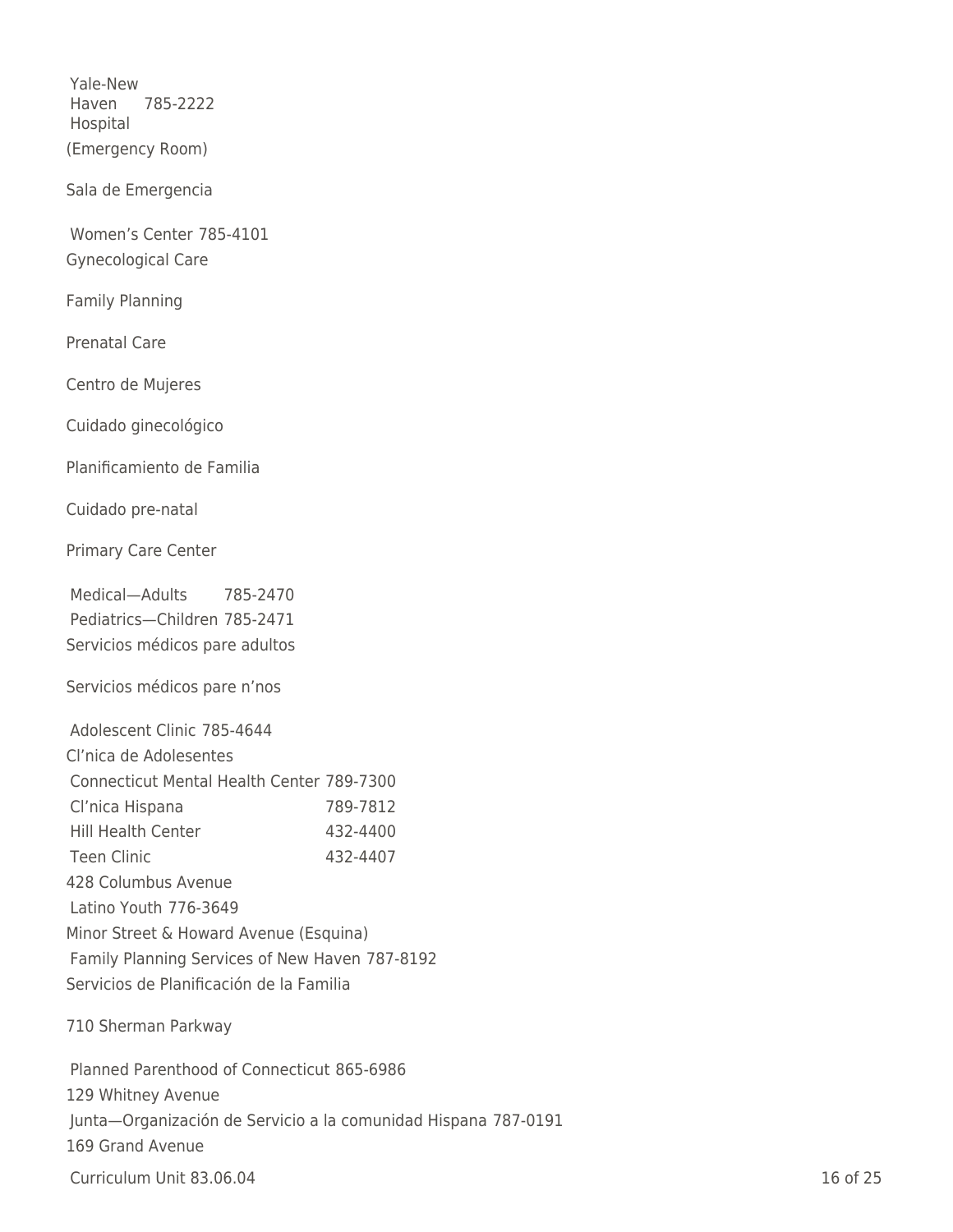Yale-New Haven Hospital 785-2222 (Emergency Room)

Sala de Emergencia

Women's Center 785-4101 Gynecological Care

Family Planning

Prenatal Care

Centro de Mujeres

Cuidado ginecológico

Planificamiento de Familia

Cuidado pre-natal

Primary Care Center

Medical—Adults 785-2470 Pediatrics—Children 785-2471 Servicios médicos pare adultos

Servicios médicos pare n'nos

| Adolescent Clinic 785-4644                       |          |
|--------------------------------------------------|----------|
| Cl'nica de Adolesentes                           |          |
| <b>Connecticut Mental Health Center 789-7300</b> |          |
| Cl'nica Hispana                                  | 789-7812 |
| <b>Hill Health Center</b>                        | 432-4400 |
| <b>Teen Clinic</b>                               | 432-4407 |
| 428 Columbus Avenue                              |          |
| Latino Youth 776-3649                            |          |
| Minor Street & Howard Avenue (Esquina)           |          |
| Family Planning Services of New Haven 787-8192   |          |
| Servicios de Planificación de la Familia         |          |
|                                                  |          |

710 Sherman Parkway

Planned Parenthood of Connecticut 865-6986 129 Whitney Avenue Junta—Organización de Servicio a la comunidad Hispana 787-0191 169 Grand Avenue

**Curriculum Unit 83.06.04** 16 of 25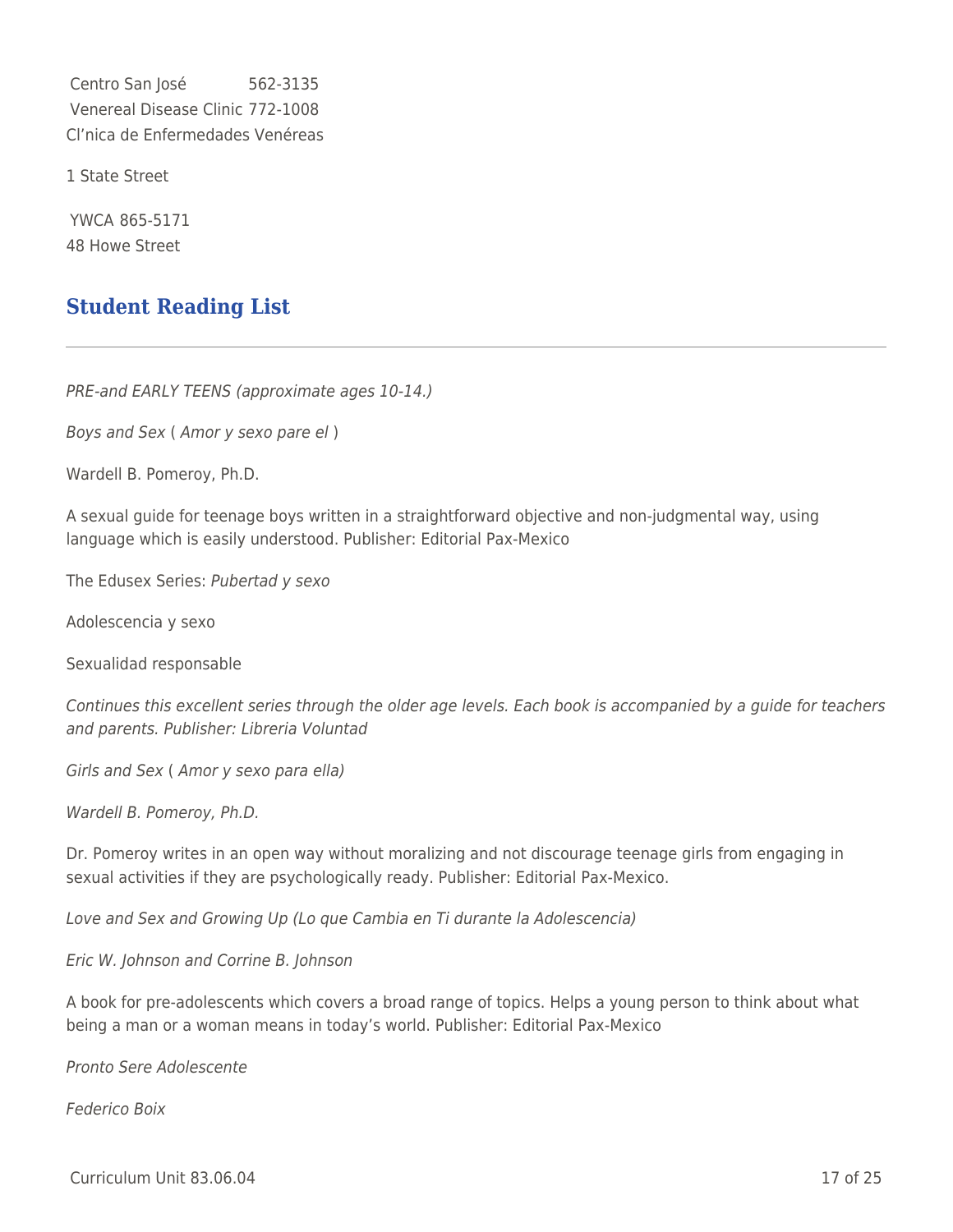Centro San José 562-3135 Venereal Disease Clinic 772-1008 Cl'nica de Enfermedades Venéreas

1 State Street

YWCA 865-5171 48 Howe Street

## **Student Reading List**

PRE-and EARLY TEENS (approximate ages 10-14.)

Boys and Sex ( Amor y sexo pare el )

Wardell B. Pomeroy, Ph.D.

A sexual guide for teenage boys written in a straightforward objective and non-judgmental way, using language which is easily understood. Publisher: Editorial Pax-Mexico

The Edusex Series: Pubertad y sexo

Adolescencia y sexo

Sexualidad responsable

Continues this excellent series through the older age levels. Each book is accompanied by a guide for teachers and parents. Publisher: Libreria Voluntad

Girls and Sex ( Amor y sexo para ella)

Wardell B. Pomeroy, Ph.D.

Dr. Pomeroy writes in an open way without moralizing and not discourage teenage girls from engaging in sexual activities if they are psychologically ready. Publisher: Editorial Pax-Mexico.

Love and Sex and Growing Up (Lo que Cambia en Ti durante la Adolescencia)

Eric W. Johnson and Corrine B. Johnson

A book for pre-adolescents which covers a broad range of topics. Helps a young person to think about what being a man or a woman means in today's world. Publisher: Editorial Pax-Mexico

Pronto Sere Adolescente

Federico Boix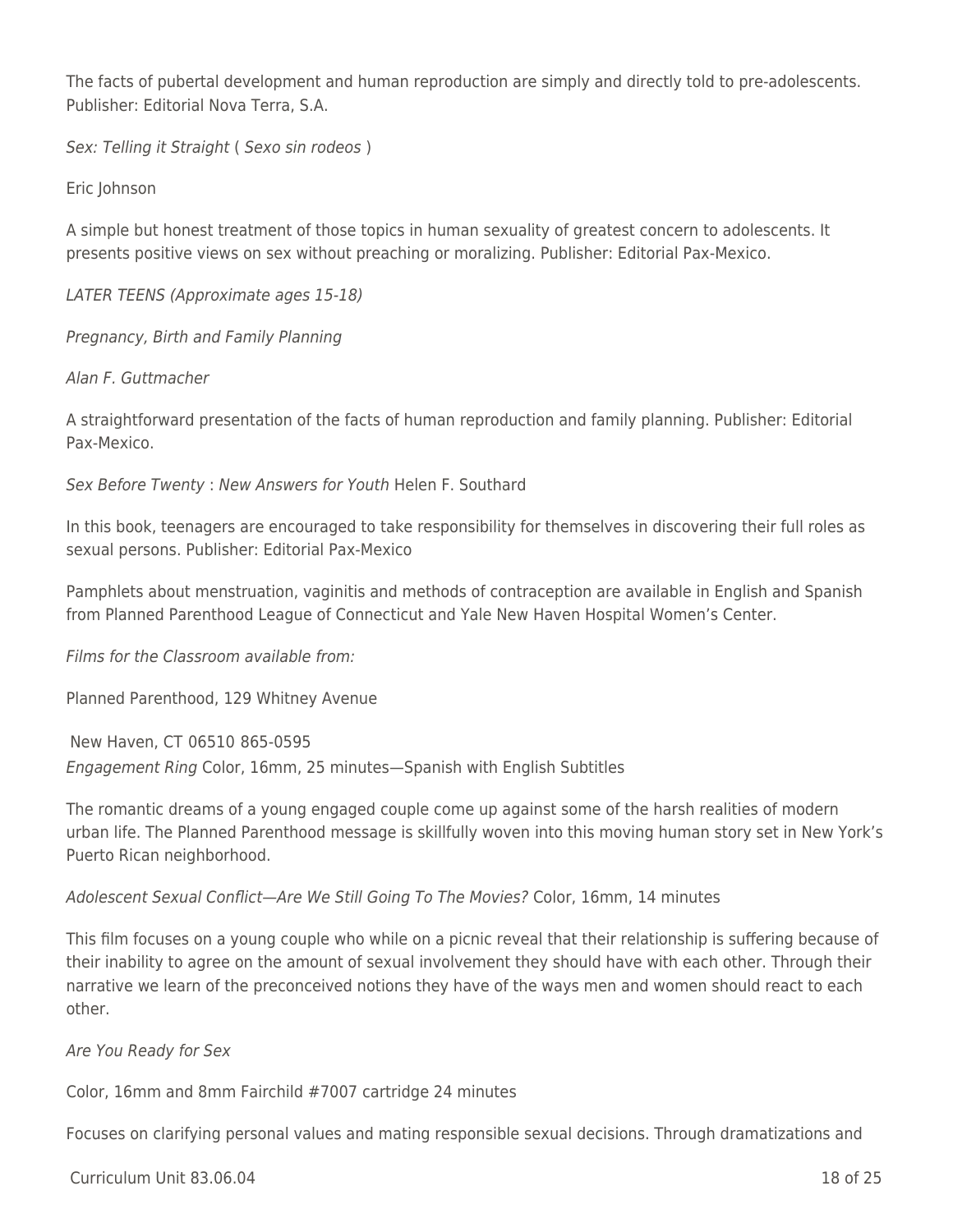The facts of pubertal development and human reproduction are simply and directly told to pre-adolescents. Publisher: Editorial Nova Terra, S.A.

Sex: Telling it Straight ( Sexo sin rodeos )

Eric Johnson

A simple but honest treatment of those topics in human sexuality of greatest concern to adolescents. It presents positive views on sex without preaching or moralizing. Publisher: Editorial Pax-Mexico.

LATER TEENS (Approximate ages 15-18)

Pregnancy, Birth and Family Planning

Alan F. Guttmacher

A straightforward presentation of the facts of human reproduction and family planning. Publisher: Editorial Pax-Mexico.

Sex Before Twenty : New Answers for Youth Helen F. Southard

In this book, teenagers are encouraged to take responsibility for themselves in discovering their full roles as sexual persons. Publisher: Editorial Pax-Mexico

Pamphlets about menstruation, vaginitis and methods of contraception are available in English and Spanish from Planned Parenthood League of Connecticut and Yale New Haven Hospital Women's Center.

Films for the Classroom available from:

Planned Parenthood, 129 Whitney Avenue

New Haven, CT 06510 865-0595 Engagement Ring Color, 16mm, 25 minutes—Spanish with English Subtitles

The romantic dreams of a young engaged couple come up against some of the harsh realities of modern urban life. The Planned Parenthood message is skillfully woven into this moving human story set in New York's Puerto Rican neighborhood.

Adolescent Sexual Conflict—Are We Still Going To The Movies? Color, 16mm, 14 minutes

This film focuses on a young couple who while on a picnic reveal that their relationship is suffering because of their inability to agree on the amount of sexual involvement they should have with each other. Through their narrative we learn of the preconceived notions they have of the ways men and women should react to each other.

Are You Ready for Sex

Color, 16mm and 8mm Fairchild #7007 cartridge 24 minutes

Focuses on clarifying personal values and mating responsible sexual decisions. Through dramatizations and

 $C$ urriculum Unit 83.06.04 18 of 25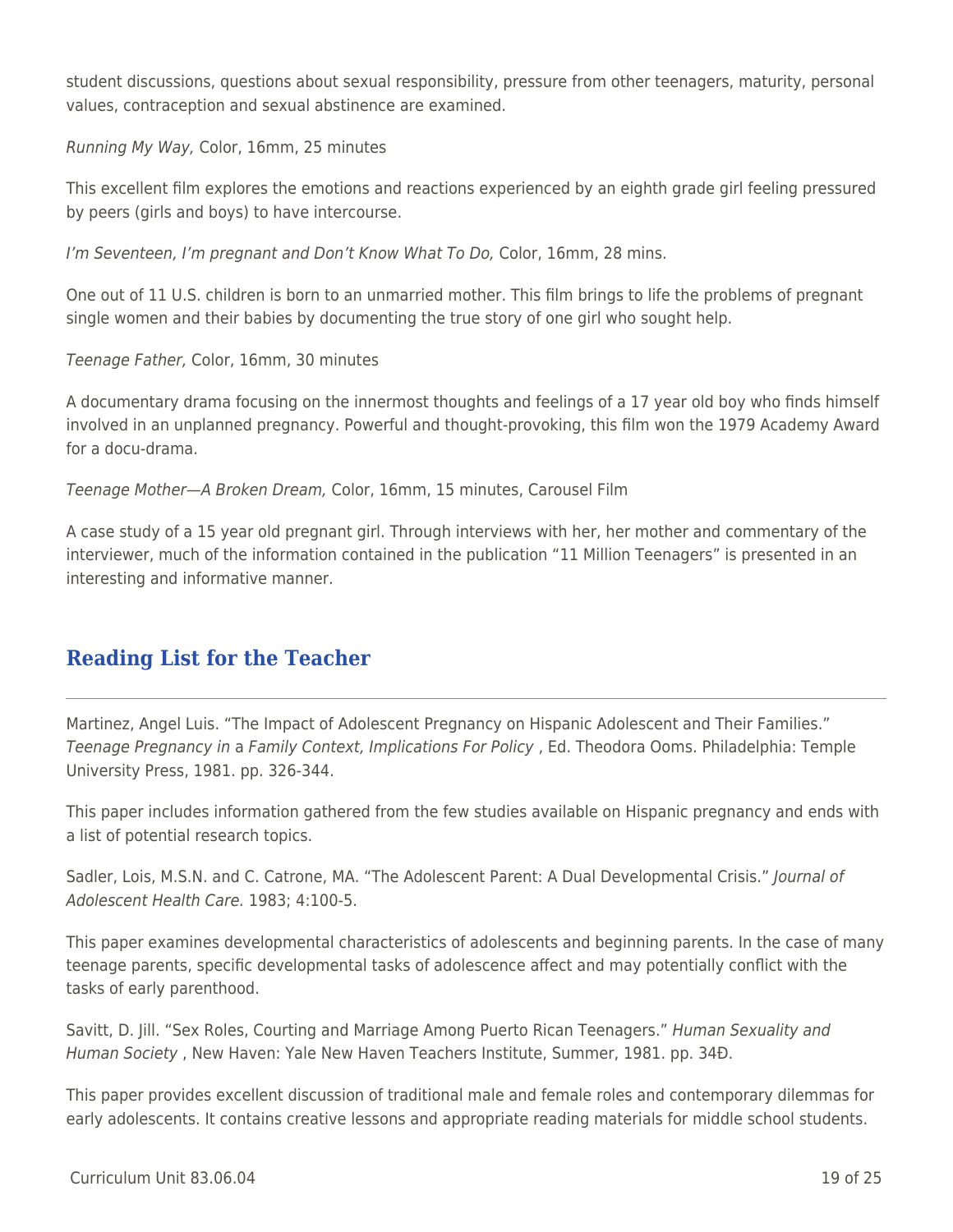student discussions, questions about sexual responsibility, pressure from other teenagers, maturity, personal values, contraception and sexual abstinence are examined.

Running My Way, Color, 16mm, 25 minutes

This excellent film explores the emotions and reactions experienced by an eighth grade girl feeling pressured by peers (girls and boys) to have intercourse.

I'm Seventeen, I'm pregnant and Don't Know What To Do, Color, 16mm, 28 mins.

One out of 11 U.S. children is born to an unmarried mother. This film brings to life the problems of pregnant single women and their babies by documenting the true story of one girl who sought help.

Teenage Father, Color, 16mm, 30 minutes

A documentary drama focusing on the innermost thoughts and feelings of a 17 year old boy who finds himself involved in an unplanned pregnancy. Powerful and thought-provoking, this film won the 1979 Academy Award for a docu-drama.

Teenage Mother—A Broken Dream, Color, 16mm, 15 minutes, Carousel Film

A case study of a 15 year old pregnant girl. Through interviews with her, her mother and commentary of the interviewer, much of the information contained in the publication "11 Million Teenagers" is presented in an interesting and informative manner.

## **Reading List for the Teacher**

Martinez, Angel Luis. "The Impact of Adolescent Pregnancy on Hispanic Adolescent and Their Families." Teenage Pregnancy in a Family Context, Implications For Policy , Ed. Theodora Ooms. Philadelphia: Temple University Press, 1981. pp. 326-344.

This paper includes information gathered from the few studies available on Hispanic pregnancy and ends with a list of potential research topics.

Sadler, Lois, M.S.N. and C. Catrone, MA. "The Adolescent Parent: A Dual Developmental Crisis." Journal of Adolescent Health Care. 1983; 4:100-5.

This paper examines developmental characteristics of adolescents and beginning parents. In the case of many teenage parents, specific developmental tasks of adolescence affect and may potentially conflict with the tasks of early parenthood.

Savitt, D. Jill. "Sex Roles, Courting and Marriage Among Puerto Rican Teenagers." Human Sexuality and Human Society , New Haven: Yale New Haven Teachers Institute, Summer, 1981. pp. 34Ð.

This paper provides excellent discussion of traditional male and female roles and contemporary dilemmas for early adolescents. It contains creative lessons and appropriate reading materials for middle school students.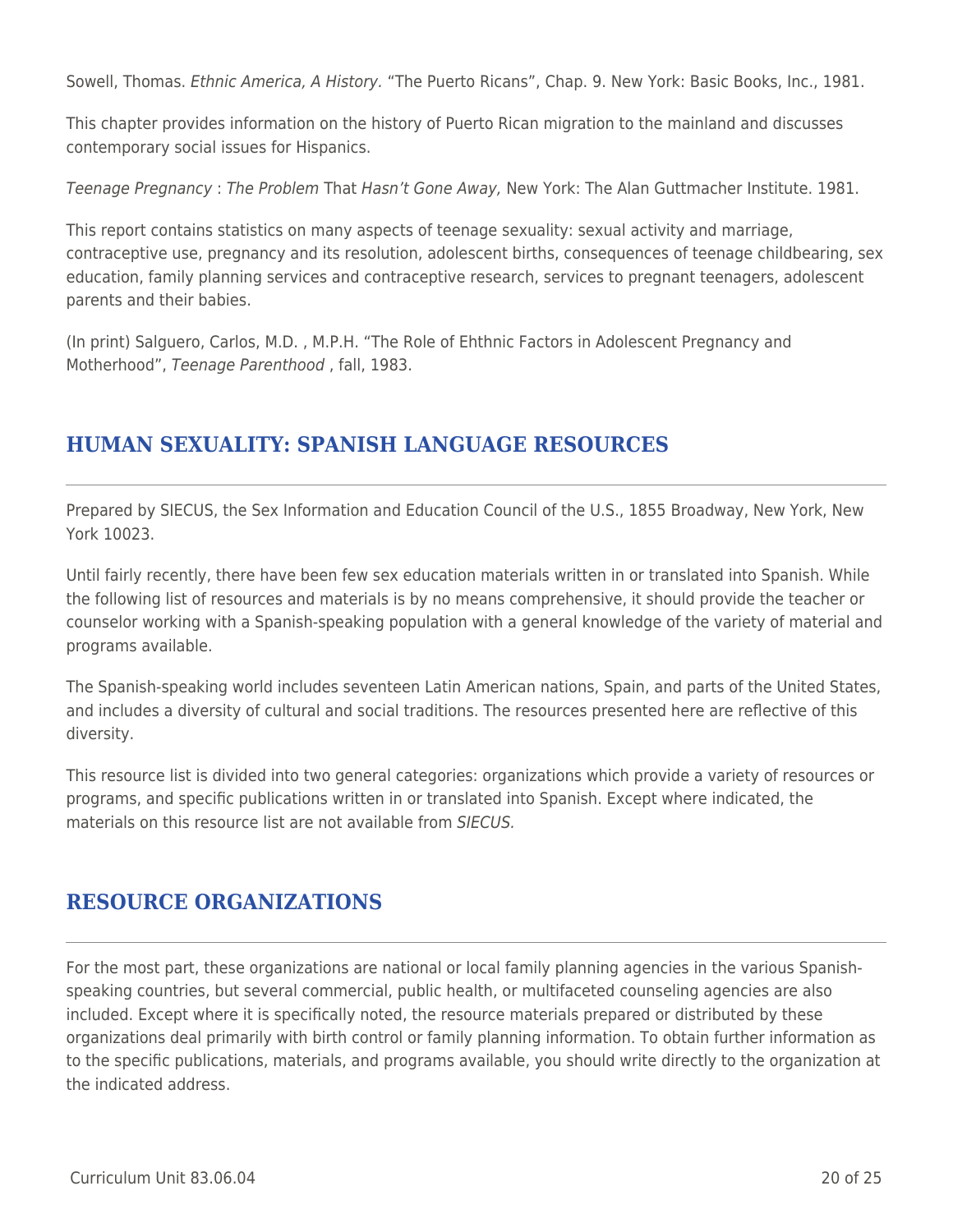Sowell, Thomas. Ethnic America, A History. "The Puerto Ricans", Chap. 9. New York: Basic Books, Inc., 1981.

This chapter provides information on the history of Puerto Rican migration to the mainland and discusses contemporary social issues for Hispanics.

Teenage Pregnancy : The Problem That Hasn't Gone Away, New York: The Alan Guttmacher Institute. 1981.

This report contains statistics on many aspects of teenage sexuality: sexual activity and marriage, contraceptive use, pregnancy and its resolution, adolescent births, consequences of teenage childbearing, sex education, family planning services and contraceptive research, services to pregnant teenagers, adolescent parents and their babies.

(In print) Salguero, Carlos, M.D. , M.P.H. "The Role of Ehthnic Factors in Adolescent Pregnancy and Motherhood", Teenage Parenthood , fall, 1983.

# **HUMAN SEXUALITY: SPANISH LANGUAGE RESOURCES**

Prepared by SIECUS, the Sex Information and Education Council of the U.S., 1855 Broadway, New York, New York 10023.

Until fairly recently, there have been few sex education materials written in or translated into Spanish. While the following list of resources and materials is by no means comprehensive, it should provide the teacher or counselor working with a Spanish-speaking population with a general knowledge of the variety of material and programs available.

The Spanish-speaking world includes seventeen Latin American nations, Spain, and parts of the United States, and includes a diversity of cultural and social traditions. The resources presented here are reflective of this diversity.

This resource list is divided into two general categories: organizations which provide a variety of resources or programs, and specific publications written in or translated into Spanish. Except where indicated, the materials on this resource list are not available from SIECUS.

## **RESOURCE ORGANIZATIONS**

For the most part, these organizations are national or local family planning agencies in the various Spanishspeaking countries, but several commercial, public health, or multifaceted counseling agencies are also included. Except where it is specifically noted, the resource materials prepared or distributed by these organizations deal primarily with birth control or family planning information. To obtain further information as to the specific publications, materials, and programs available, you should write directly to the organization at the indicated address.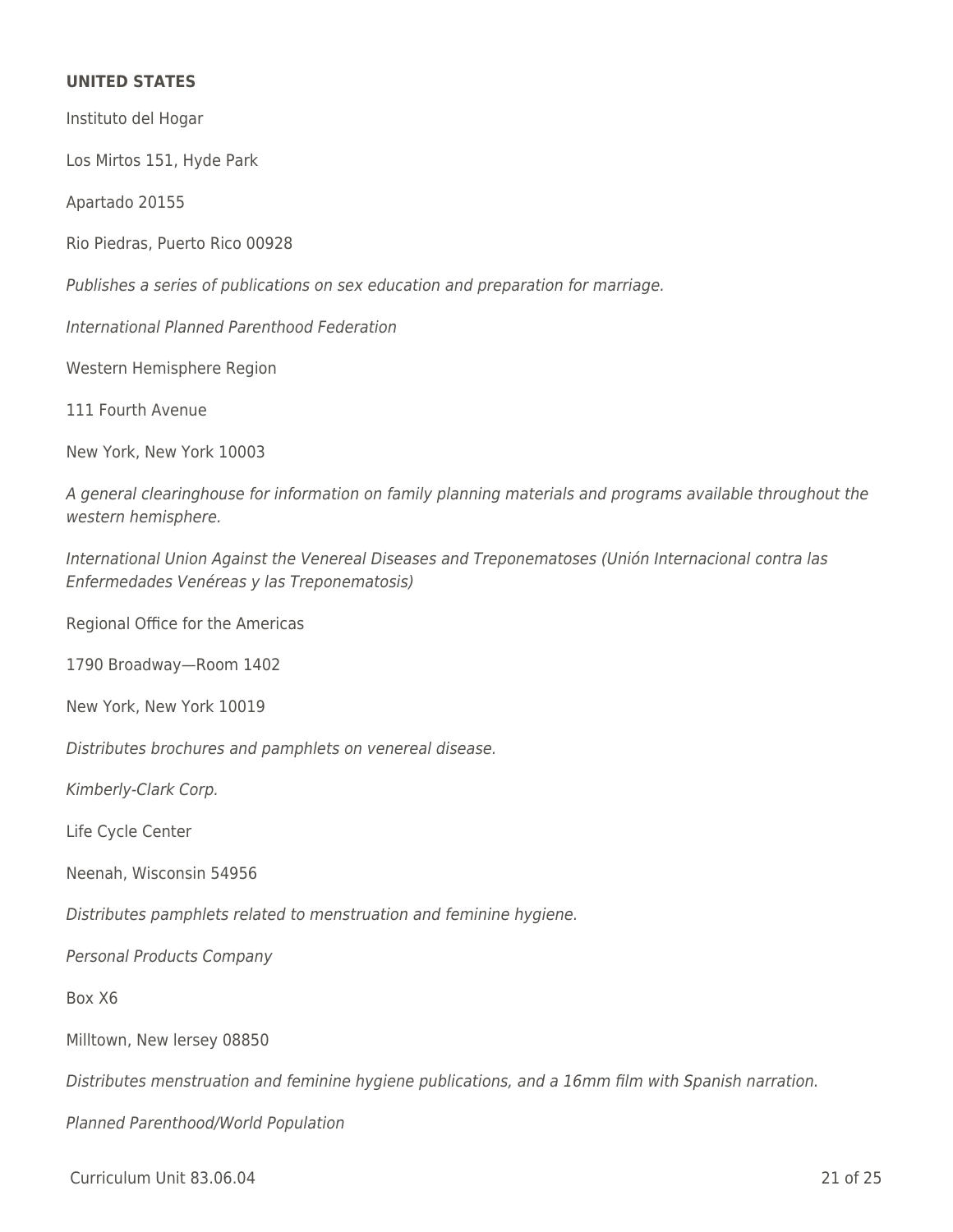### **UNITED STATES**

Instituto del Hogar Los Mirtos 151, Hyde Park Apartado 20155 Rio Piedras, Puerto Rico 00928 Publishes a series of publications on sex education and preparation for marriage. International Planned Parenthood Federation Western Hemisphere Region 111 Fourth Avenue New York, New York 10003 A general clearinghouse for information on family planning materials and programs available throughout the western hemisphere. International Union Against the Venereal Diseases and Treponematoses (Unión Internacional contra las Enfermedades Venéreas y las Treponematosis) Regional Office for the Americas 1790 Broadway—Room 1402 New York, New York 10019 Distributes brochures and pamphlets on venereal disease. Kimberly-Clark Corp. Life Cycle Center Neenah, Wisconsin 54956 Distributes pamphlets related to menstruation and feminine hygiene. Personal Products Company Box X6 Milltown, New lersey 08850 Distributes menstruation and feminine hygiene publications, and a 16mm film with Spanish narration. Planned Parenthood/World Population

Curriculum Unit 83.06.04 21 of 25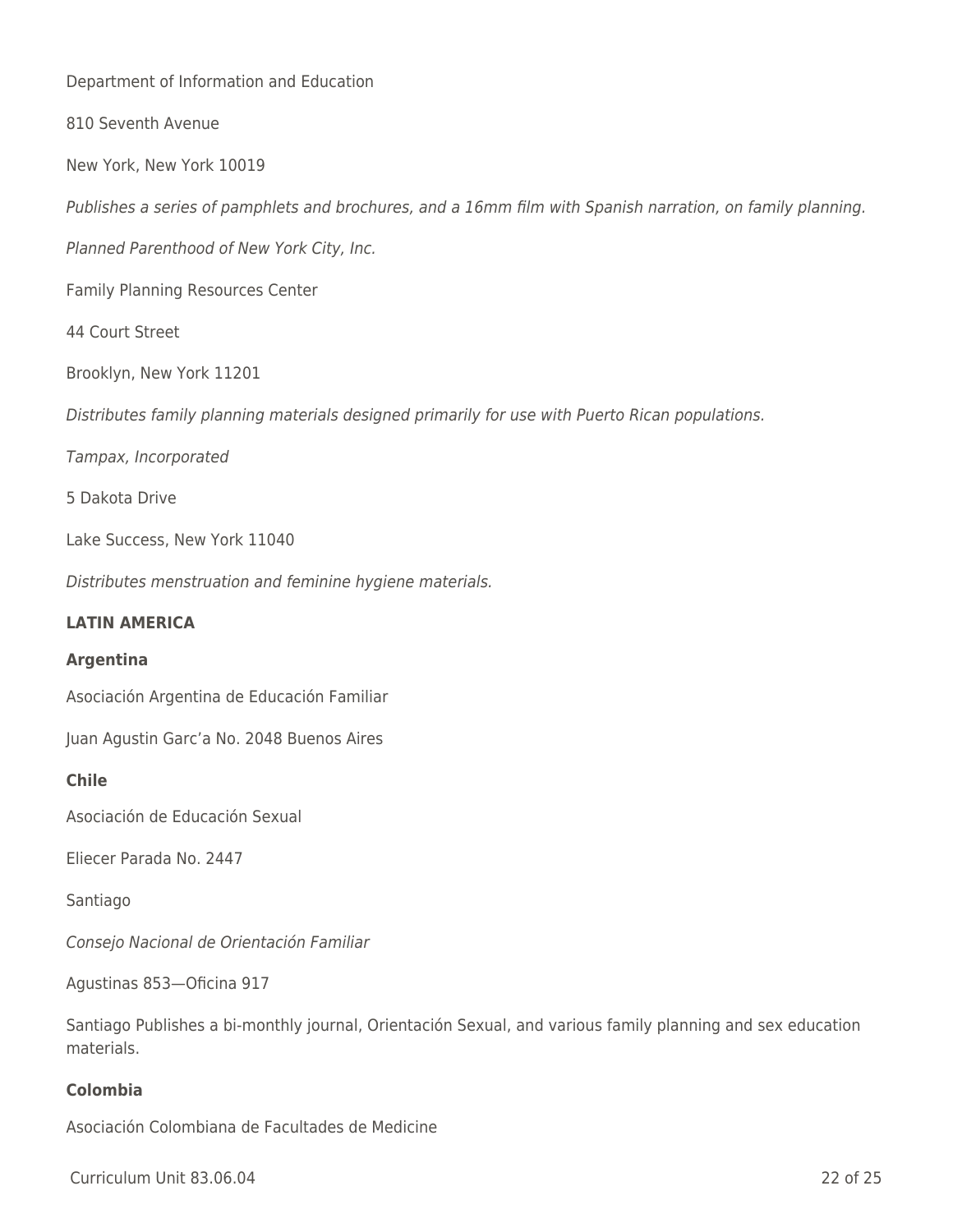Department of Information and Education

810 Seventh Avenue

New York, New York 10019

Publishes a series of pamphlets and brochures, and a 16mm film with Spanish narration, on family planning.

Planned Parenthood of New York City, Inc.

Family Planning Resources Center

44 Court Street

Brooklyn, New York 11201

Distributes family planning materials designed primarily for use with Puerto Rican populations.

Tampax, Incorporated

5 Dakota Drive

Lake Success, New York 11040

Distributes menstruation and feminine hygiene materials.

#### **LATIN AMERICA**

#### **Argentina**

Asociación Argentina de Educación Familiar

Juan Agustin Garc'a No. 2048 Buenos Aires

#### **Chile**

Asociación de Educación Sexual

Eliecer Parada No. 2447

Santiago

Consejo Nacional de Orientación Familiar

Agustinas 853—Oficina 917

Santiago Publishes a bi-monthly journal, Orientación Sexual, and various family planning and sex education materials.

### **Colombia**

Asociación Colombiana de Facultades de Medicine

Curriculum Unit 83.06.04 22 of 25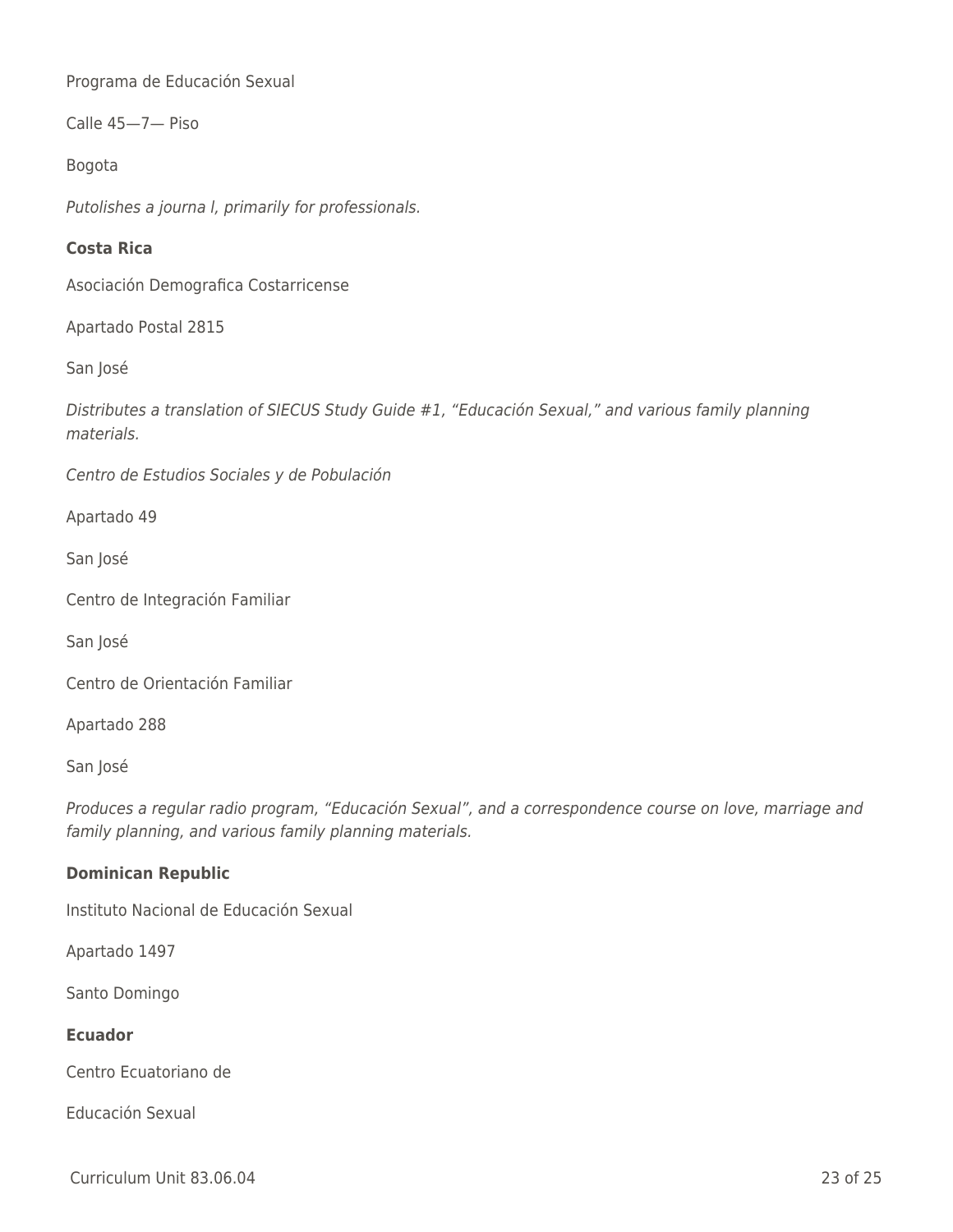Programa de Educación Sexual

Calle 45—7— Piso

Bogota

Putolishes a journa l, primarily for professionals.

### **Costa Rica**

Asociación Demografica Costarricense

Apartado Postal 2815

San José

Distributes a translation of SIECUS Study Guide #1, "Educación Sexual," and various family planning materials.

Centro de Estudios Sociales y de Pobulación

Apartado 49

San José

Centro de Integración Familiar

San José

Centro de Orientación Familiar

Apartado 288

San José

Produces a regular radio program, "Educación Sexual", and a correspondence course on love, marriage and family planning, and various family planning materials.

### **Dominican Republic**

Instituto Nacional de Educación Sexual

Apartado 1497

Santo Domingo

### **Ecuador**

Centro Ecuatoriano de

Educación Sexual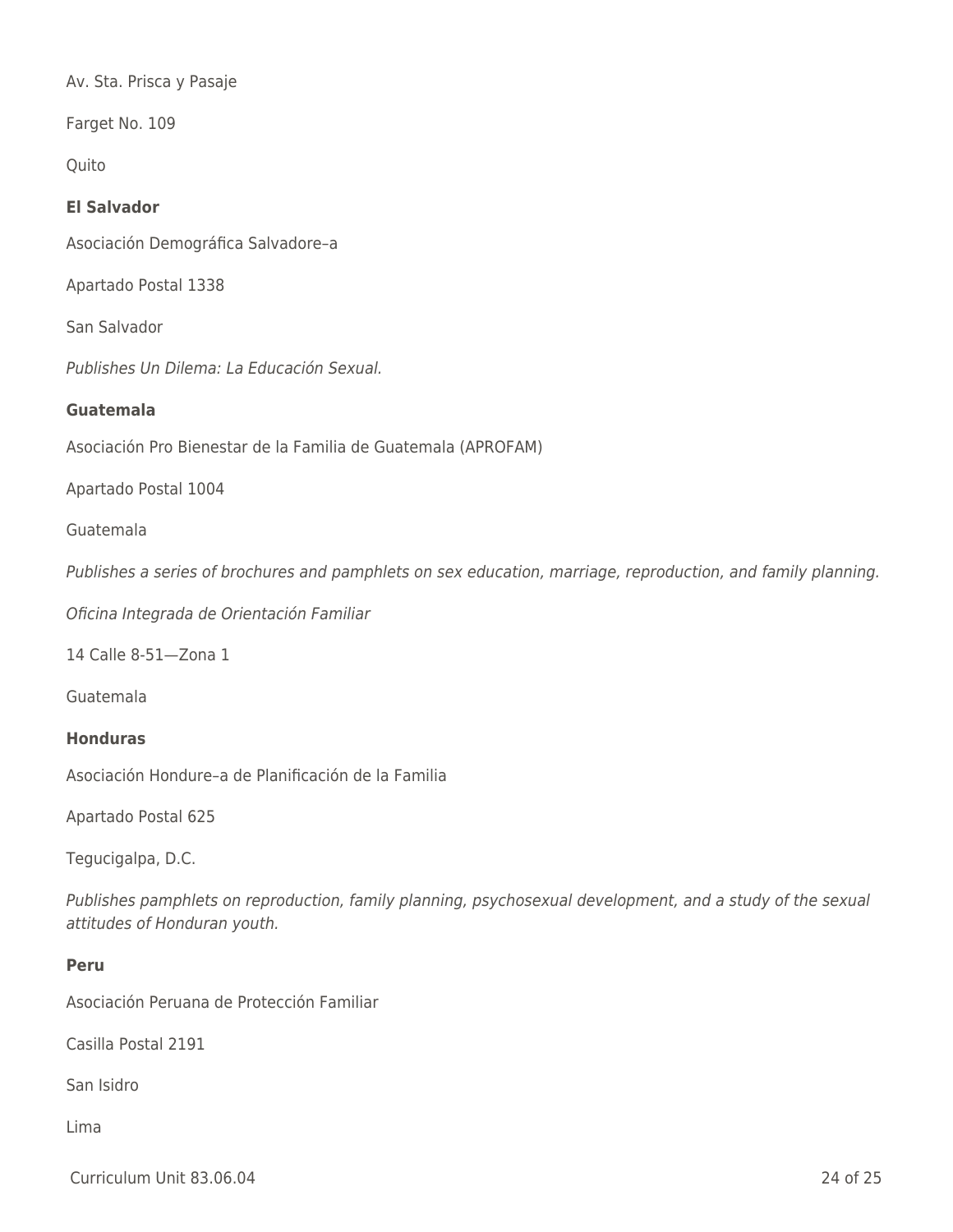Av. Sta. Prisca y Pasaje

Farget No. 109

**Quito** 

### **El Salvador**

Asociación Demográfica Salvadore–a

Apartado Postal 1338

San Salvador

Publishes Un Dilema: La Educación Sexual.

#### **Guatemala**

Asociación Pro Bienestar de la Familia de Guatemala (APROFAM)

Apartado Postal 1004

#### Guatemala

Publishes a series of brochures and pamphlets on sex education, marriage, reproduction, and family planning.

Oficina Integrada de Orientación Familiar

14 Calle 8-51—Zona 1

Guatemala

#### **Honduras**

Asociación Hondure–a de Planificación de la Familia

Apartado Postal 625

Tegucigalpa, D.C.

Publishes pamphlets on reproduction, family planning, psychosexual development, and a study of the sexual attitudes of Honduran youth.

#### **Peru**

Asociación Peruana de Protección Familiar

Casilla Postal 2191

San Isidro

Lima

Curriculum Unit 83.06.04 24 of 25